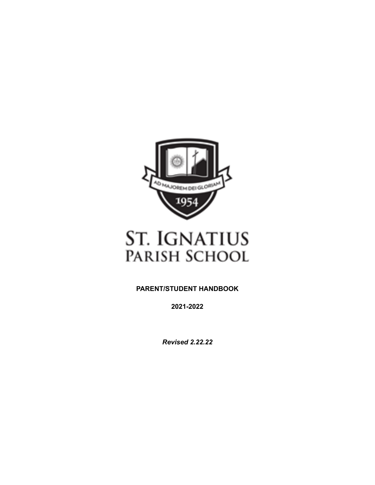

# **ST. IGNATIUS** PARISH SCHOOL

**PARENT/STUDENT HANDBOOK**

**2021-2022**

*Revised 2.22.22*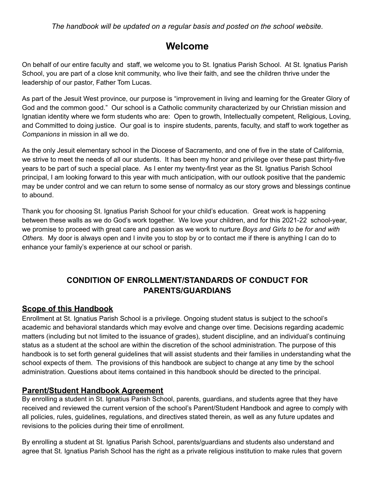*The handbook will be updated on a regular basis and posted on the school website.*

## **Welcome**

On behalf of our entire faculty and staff, we welcome you to St. Ignatius Parish School. At St. Ignatius Parish School, you are part of a close knit community, who live their faith, and see the children thrive under the leadership of our pastor, Father Tom Lucas.

As part of the Jesuit West province, our purpose is "improvement in living and learning for the Greater Glory of God and the common good." Our school is a Catholic community characterized by our Christian mission and Ignatian identity where we form students who are: Open to growth, Intellectually competent, Religious, Loving, and Committed to doing justice. Our goal is to inspire students, parents, faculty, and staff to work together as *Companions* in mission in all we do.

As the only Jesuit elementary school in the Diocese of Sacramento, and one of five in the state of California, we strive to meet the needs of all our students. It has been my honor and privilege over these past thirty-five years to be part of such a special place. As I enter my twenty-first year as the St. Ignatius Parish School principal, I am looking forward to this year with much anticipation, with our outlook positive that the pandemic may be under control and we can return to some sense of normalcy as our story grows and blessings continue to abound.

Thank you for choosing St. Ignatius Parish School for your child's education. Great work is happening between these walls as we do God's work together. We love your children, and for this 2021-22 school-year, we promise to proceed with great care and passion as we work to nurture *Boys and Girls to be for and with Others.* My door is always open and I invite you to stop by or to contact me if there is anything I can do to enhance your family's experience at our school or parish.

## **CONDITION OF ENROLLMENT/STANDARDS OF CONDUCT FOR PARENTS/GUARDIANS**

### **Scope of this Handbook**

Enrollment at St. Ignatius Parish School is a privilege. Ongoing student status is subject to the school's academic and behavioral standards which may evolve and change over time. Decisions regarding academic matters (including but not limited to the issuance of grades), student discipline, and an individual's continuing status as a student at the school are within the discretion of the school administration. The purpose of this handbook is to set forth general guidelines that will assist students and their families in understanding what the school expects of them. The provisions of this handbook are subject to change at any time by the school administration. Questions about items contained in this handbook should be directed to the principal.

### **Parent/Student Handbook Agreement**

By enrolling a student in St. Ignatius Parish School, parents, guardians, and students agree that they have received and reviewed the current version of the school's Parent/Student Handbook and agree to comply with all policies, rules, guidelines, regulations, and directives stated therein, as well as any future updates and revisions to the policies during their time of enrollment.

By enrolling a student at St. Ignatius Parish School, parents/guardians and students also understand and agree that St. Ignatius Parish School has the right as a private religious institution to make rules that govern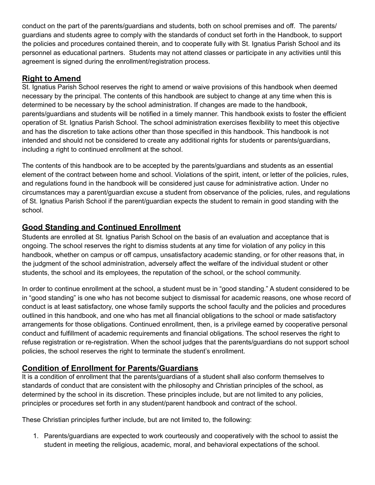conduct on the part of the parents/guardians and students, both on school premises and off. The parents/ guardians and students agree to comply with the standards of conduct set forth in the Handbook, to support the policies and procedures contained therein, and to cooperate fully with St. Ignatius Parish School and its personnel as educational partners. Students may not attend classes or participate in any activities until this agreement is signed during the enrollment/registration process.

### **Right to Amend**

St. Ignatius Parish School reserves the right to amend or waive provisions of this handbook when deemed necessary by the principal. The contents of this handbook are subject to change at any time when this is determined to be necessary by the school administration. If changes are made to the handbook, parents/guardians and students will be notified in a timely manner. This handbook exists to foster the efficient operation of St. Ignatius Parish School. The school administration exercises flexibility to meet this objective and has the discretion to take actions other than those specified in this handbook. This handbook is not intended and should not be considered to create any additional rights for students or parents/guardians, including a right to continued enrollment at the school.

The contents of this handbook are to be accepted by the parents/guardians and students as an essential element of the contract between home and school. Violations of the spirit, intent, or letter of the policies, rules, and regulations found in the handbook will be considered just cause for administrative action. Under no circumstances may a parent/guardian excuse a student from observance of the policies, rules, and regulations of St. Ignatius Parish School if the parent/guardian expects the student to remain in good standing with the school.

### **Good Standing and Continued Enrollment**

Students are enrolled at St. Ignatius Parish School on the basis of an evaluation and acceptance that is ongoing. The school reserves the right to dismiss students at any time for violation of any policy in this handbook, whether on campus or off campus, unsatisfactory academic standing, or for other reasons that, in the judgment of the school administration, adversely affect the welfare of the individual student or other students, the school and its employees, the reputation of the school, or the school community.

In order to continue enrollment at the school, a student must be in "good standing." A student considered to be in "good standing" is one who has not become subject to dismissal for academic reasons, one whose record of conduct is at least satisfactory, one whose family supports the school faculty and the policies and procedures outlined in this handbook, and one who has met all financial obligations to the school or made satisfactory arrangements for those obligations. Continued enrollment, then, is a privilege earned by cooperative personal conduct and fulfillment of academic requirements and financial obligations. The school reserves the right to refuse registration or re-registration. When the school judges that the parents/guardians do not support school policies, the school reserves the right to terminate the student's enrollment.

### **Condition of Enrollment for Parents/Guardians**

It is a condition of enrollment that the parents/guardians of a student shall also conform themselves to standards of conduct that are consistent with the philosophy and Christian principles of the school, as determined by the school in its discretion. These principles include, but are not limited to any policies, principles or procedures set forth in any student/parent handbook and contract of the school.

These Christian principles further include, but are not limited to, the following:

1. Parents/guardians are expected to work courteously and cooperatively with the school to assist the student in meeting the religious, academic, moral, and behavioral expectations of the school.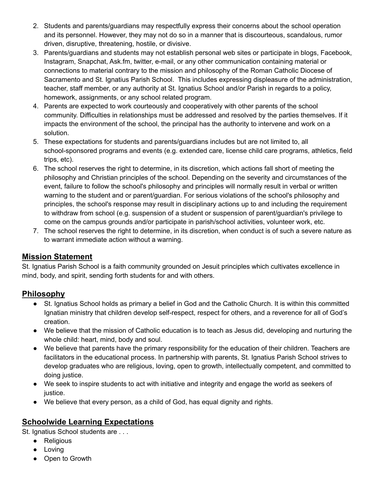- 2. Students and parents/guardians may respectfully express their concerns about the school operation and its personnel. However, they may not do so in a manner that is discourteous, scandalous, rumor driven, disruptive, threatening, hostile, or divisive.
- 3. Parents/guardians and students may not establish personal web sites or participate in blogs, Facebook, Instagram, Snapchat, Ask.fm, twitter, e-mail, or any other communication containing material or connections to material contrary to the mission and philosophy of the Roman Catholic Diocese of Sacramento and St. Ignatius Parish School. This includes expressing displeasure of the administration, teacher, staff member, or any authority at St. Ignatius School and/or Parish in regards to a policy, homework, assignments, or any school related program.
- 4. Parents are expected to work courteously and cooperatively with other parents of the school community. Difficulties in relationships must be addressed and resolved by the parties themselves. If it impacts the environment of the school, the principal has the authority to intervene and work on a solution.
- 5. These expectations for students and parents/guardians includes but are not limited to, all school-sponsored programs and events (e.g. extended care, license child care programs, athletics, field trips, etc).
- 6. The school reserves the right to determine, in its discretion, which actions fall short of meeting the philosophy and Christian principles of the school. Depending on the severity and circumstances of the event, failure to follow the school's philosophy and principles will normally result in verbal or written warning to the student and or parent/guardian. For serious violations of the school's philosophy and principles, the school's response may result in disciplinary actions up to and including the requirement to withdraw from school (e.g. suspension of a student or suspension of parent/guardian's privilege to come on the campus grounds and/or participate in parish/school activities, volunteer work, etc.
- 7. The school reserves the right to determine, in its discretion, when conduct is of such a severe nature as to warrant immediate action without a warning.

### **Mission Statement**

St. Ignatius Parish School is a faith community grounded on Jesuit principles which cultivates excellence in mind, body, and spirit, sending forth students for and with others.

### **Philosophy**

- St. Ignatius School holds as primary a belief in God and the Catholic Church. It is within this committed Ignatian ministry that children develop self-respect, respect for others, and a reverence for all of God's creation.
- We believe that the mission of Catholic education is to teach as Jesus did, developing and nurturing the whole child: heart, mind, body and soul.
- We believe that parents have the primary responsibility for the education of their children. Teachers are facilitators in the educational process. In partnership with parents, St. Ignatius Parish School strives to develop graduates who are religious, loving, open to growth, intellectually competent, and committed to doing justice.
- We seek to inspire students to act with initiative and integrity and engage the world as seekers of justice.
- We believe that every person, as a child of God, has equal dignity and rights.

### **Schoolwide Learning Expectations**

St. Ignatius School students are . . .

- Religious
- Loving
- Open to Growth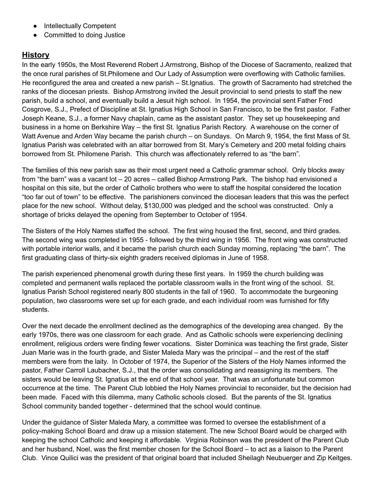- Intellectually Competent
- Committed to doing Justice

### **History**

In the early 1950s, the Most Reverend Robert J.Armstrong, Bishop of the Diocese of Sacramento, realized that the once rural parishes of St.Philomene and Our Lady of Assumption were overflowing with Catholic families. He reconfigured the area and created a new parish – St.Ignatius. The growth of Sacramento had stretched the ranks of the diocesan priests. Bishop Armstrong invited the Jesuit provincial to send priests to staff the new parish, build a school, and eventually build a Jesuit high school. In 1954, the provincial sent Father Fred Cosgrove, S.J., Prefect of Discipline at St. Ignatius High School in San Francisco, to be the first pastor. Father Joseph Keane, S.J., a former Navy chaplain, came as the assistant pastor. They set up housekeeping and business in a home on Berkshire Way – the first St. Ignatius Parish Rectory. A warehouse on the corner of Watt Avenue and Arden Way became the parish church – on Sundays. On March 9, 1954, the first Mass of St. Ignatius Parish was celebrated with an altar borrowed from St. Mary's Cemetery and 200 metal folding chairs borrowed from St. Philomene Parish. This church was affectionately referred to as "the barn".

The families of this new parish saw as their most urgent need a Catholic grammar school. Only blocks away from "the barn" was a vacant lot – 20 acres – called Bishop Armstrong Park. The bishop had envisioned a hospital on this site, but the order of Catholic brothers who were to staff the hospital considered the location "too far out of town" to be effective. The parishioners convinced the diocesan leaders that this was the perfect place for the new school. Without delay, \$130,000 was pledged and the school was constructed. Only a shortage of bricks delayed the opening from September to October of 1954.

The Sisters of the Holy Names staffed the school. The first wing housed the first, second, and third grades. The second wing was completed in 1955 - followed by the third wing in 1956. The front wing was constructed with portable interior walls, and it became the parish church each Sunday morning, replacing "the barn". The first graduating class of thirty-six eighth graders received diplomas in June of 1958.

The parish experienced phenomenal growth during these first years. In 1959 the church building was completed and permanent walls replaced the portable classroom walls in the front wing of the school. St. Ignatius Parish School registered nearly 800 students in the fall of 1960. To accommodate the burgeoning population, two classrooms were set up for each grade, and each individual room was furnished for fifty students.

Over the next decade the enrollment declined as the demographics of the developing area changed. By the early 1970s, there was one classroom for each grade. And as Catholic schools were experiencing declining enrollment, religious orders were finding fewer vocations. Sister Dominica was teaching the first grade, Sister Juan Marie was in the fourth grade, and Sister Maleda Mary was the principal – and the rest of the staff members were from the laity. In October of 1974, the Superior of the Sisters of the Holy Names informed the pastor, Father Carroll Laubacher, S.J., that the order was consolidating and reassigning its members. The sisters would be leaving St. Ignatius at the end of that school year. That was an unfortunate but common occurrence at the time. The Parent Club lobbied the Holy Names provincial to reconsider, but the decision had been made. Faced with this dilemma, many Catholic schools closed. But the parents of the St. Ignatius School community banded together - determined that the school would continue.

Under the guidance of Sister Maleda Mary, a committee was formed to oversee the establishment of a policy-making School Board and draw up a mission statement. The new School Board would be charged with keeping the school Catholic and keeping it affordable. Virginia Robinson was the president of the Parent Club and her husband, Noel, was the first member chosen for the School Board – to act as a liaison to the Parent Club. Vince Quilici was the president of that original board that included Sheilagh Neubuerger and Zip Keitges.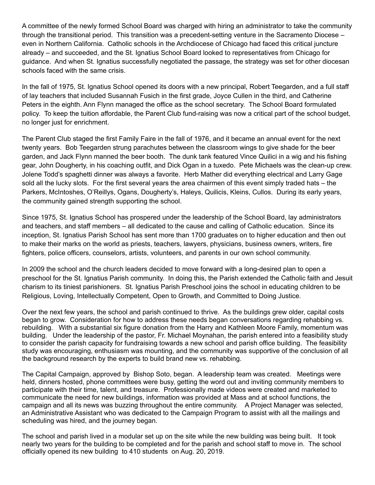A committee of the newly formed School Board was charged with hiring an administrator to take the community through the transitional period. This transition was a precedent-setting venture in the Sacramento Diocese – even in Northern California. Catholic schools in the Archdiocese of Chicago had faced this critical juncture already – and succeeded, and the St. Ignatius School Board looked to representatives from Chicago for guidance. And when St. Ignatius successfully negotiated the passage, the strategy was set for other diocesan schools faced with the same crisis.

In the fall of 1975, St. Ignatius School opened its doors with a new principal, Robert Teegarden, and a full staff of lay teachers that included Susannah Fusich in the first grade, Joyce Cullen in the third, and Catherine Peters in the eighth. Ann Flynn managed the office as the school secretary. The School Board formulated policy. To keep the tuition affordable, the Parent Club fund-raising was now a critical part of the school budget, no longer just for enrichment.

The Parent Club staged the first Family Faire in the fall of 1976, and it became an annual event for the next twenty years. Bob Teegarden strung parachutes between the classroom wings to give shade for the beer garden, and Jack Flynn manned the beer booth. The dunk tank featured Vince Quilici in a wig and his fishing gear, John Dougherty, in his coaching outfit, and Dick Ogan in a tuxedo. Pete Michaels was the clean-up crew. Jolene Todd's spaghetti dinner was always a favorite. Herb Mather did everything electrical and Larry Gage sold all the lucky slots. For the first several years the area chairmen of this event simply traded hats – the Parkers, McIntoshes, O'Reillys, Ogans, Dougherty's, Haleys, Quilicis, Kleins, Cullos. During its early years, the community gained strength supporting the school.

Since 1975, St. Ignatius School has prospered under the leadership of the School Board, lay administrators and teachers, and staff members – all dedicated to the cause and calling of Catholic education. Since its inception, St. Ignatius Parish School has sent more than 1700 graduates on to higher education and then out to make their marks on the world as priests, teachers, lawyers, physicians, business owners, writers, fire fighters, police officers, counselors, artists, volunteers, and parents in our own school community.

In 2009 the school and the church leaders decided to move forward with a long-desired plan to open a preschool for the St. Ignatius Parish community. In doing this, the Parish extended the Catholic faith and Jesuit charism to its tiniest parishioners. St. Ignatius Parish Preschool joins the school in educating children to be Religious, Loving, Intellectually Competent, Open to Growth, and Committed to Doing Justice.

Over the next few years, the school and parish continued to thrive. As the buildings grew older, capital costs began to grow. Consideration for how to address these needs began conversations regarding rehabbing vs. rebuilding. With a substantial six figure donation from the Harry and Kathleen Moore Family, momentum was building. Under the leadership of the pastor, Fr. Michael Moynahan, the parish entered into a feasibility study to consider the parish capacity for fundraising towards a new school and parish office building. The feasibility study was encouraging, enthusiasm was mounting, and the community was supportive of the conclusion of all the background research by the experts to build brand new vs. rehabbing.

The Capital Campaign, approved by Bishop Soto, began. A leadership team was created. Meetings were held, dinners hosted, phone committees were busy, getting the word out and inviting community members to participate with their time, talent, and treasure. Professionally made videos were created and marketed to communicate the need for new buildings, information was provided at Mass and at school functions, the campaign and all its news was buzzing throughout the entire community. A Project Manager was selected, an Administrative Assistant who was dedicated to the Campaign Program to assist with all the mailings and scheduling was hired, and the journey began.

The school and parish lived in a modular set up on the site while the new building was being built. It took nearly two years for the building to be completed and for the parish and school staff to move in. The school officially opened its new building to 410 students on Aug. 20, 2019.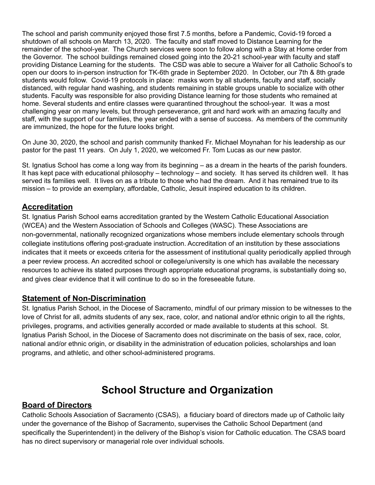The school and parish community enjoyed those first 7.5 months, before a Pandemic, Covid-19 forced a shutdown of all schools on March 13, 2020. The faculty and staff moved to Distance Learning for the remainder of the school-year. The Church services were soon to follow along with a Stay at Home order from the Governor. The school buildings remained closed going into the 20-21 school-year with faculty and staff providing Distance Learning for the students. The CSD was able to secure a Waiver for all Catholic School's to open our doors to in-person instruction for TK-6th grade in September 2020. In October, our 7th & 8th grade students would follow. Covid-19 protocols in place: masks worn by all students, faculty and staff, socially distanced, with regular hand washing, and students remaining in stable groups unable to socialize with other students. Faculty was responsible for also providing Distance learning for those students who remained at home. Several students and entire classes were quarantined throughout the school-year. It was a most challenging year on many levels, but through perseverance, grit and hard work with an amazing faculty and staff, with the support of our families, the year ended with a sense of success. As members of the community are immunized, the hope for the future looks bright.

On June 30, 2020, the school and parish community thanked Fr. Michael Moynahan for his leadership as our pastor for the past 11 years. On July 1, 2020, we welcomed Fr. Tom Lucas as our new pastor.

St. Ignatius School has come a long way from its beginning – as a dream in the hearts of the parish founders. It has kept pace with educational philosophy – technology – and society. It has served its children well. It has served its families well. It lives on as a tribute to those who had the dream. And it has remained true to its mission – to provide an exemplary, affordable, Catholic, Jesuit inspired education to its children.

#### **Accreditation**

St. Ignatius Parish School earns accreditation granted by the Western Catholic Educational Association (WCEA) and the Western Association of Schools and Colleges (WASC). These Associations are non-governmental, nationally recognized organizations whose members include elementary schools through collegiate institutions offering post-graduate instruction. Accreditation of an institution by these associations indicates that it meets or exceeds criteria for the assessment of institutional quality periodically applied through a peer review process. An accredited school or college/university is one which has available the necessary resources to achieve its stated purposes through appropriate educational programs, is substantially doing so, and gives clear evidence that it will continue to do so in the foreseeable future.

#### **Statement of Non-Discrimination**

St. Ignatius Parish School, in the Diocese of Sacramento, mindful of our primary mission to be witnesses to the love of Christ for all, admits students of any sex, race, color, and national and/or ethnic origin to all the rights, privileges, programs, and activities generally accorded or made available to students at this school. St. Ignatius Parish School, in the Diocese of Sacramento does not discriminate on the basis of sex, race, color, national and/or ethnic origin, or disability in the administration of education policies, scholarships and loan programs, and athletic, and other school-administered programs.

## **School Structure and Organization**

#### **Board of Directors**

Catholic Schools Association of Sacramento (CSAS), a fiduciary board of directors made up of Catholic laity under the governance of the Bishop of Sacramento, supervises the Catholic School Department (and specifically the Superintendent) in the delivery of the Bishop's vision for Catholic education. The CSAS board has no direct supervisory or managerial role over individual schools.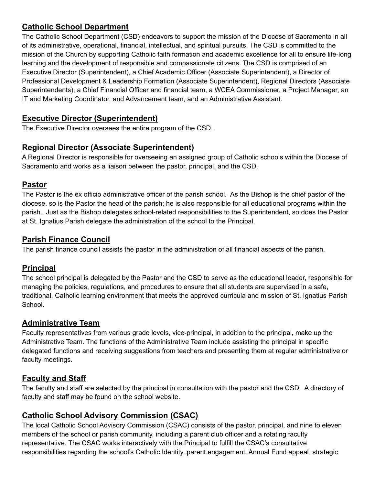### **Catholic School Department**

The Catholic School Department (CSD) endeavors to support the mission of the Diocese of Sacramento in all of its administrative, operational, financial, intellectual, and spiritual pursuits. The CSD is committed to the mission of the Church by supporting Catholic faith formation and academic excellence for all to ensure life-long learning and the development of responsible and compassionate citizens. The CSD is comprised of an Executive Director (Superintendent), a Chief Academic Officer (Associate Superintendent), a Director of Professional Development & Leadership Formation (Associate Superintendent), Regional Directors (Associate Superintendents), a Chief Financial Officer and financial team, a WCEA Commissioner, a Project Manager, an IT and Marketing Coordinator, and Advancement team, and an Administrative Assistant.

### **Executive Director (Superintendent)**

The Executive Director oversees the entire program of the CSD.

### **Regional Director (Associate Superintendent)**

A Regional Director is responsible for overseeing an assigned group of Catholic schools within the Diocese of Sacramento and works as a liaison between the pastor, principal, and the CSD.

### **Pastor**

The Pastor is the ex officio administrative officer of the parish school. As the Bishop is the chief pastor of the diocese, so is the Pastor the head of the parish; he is also responsible for all educational programs within the parish. Just as the Bishop delegates school-related responsibilities to the Superintendent, so does the Pastor at St. Ignatius Parish delegate the administration of the school to the Principal.

### **Parish Finance Council**

The parish finance council assists the pastor in the administration of all financial aspects of the parish.

### **Principal**

The school principal is delegated by the Pastor and the CSD to serve as the educational leader, responsible for managing the policies, regulations, and procedures to ensure that all students are supervised in a safe, traditional, Catholic learning environment that meets the approved curricula and mission of St. Ignatius Parish **School** 

### **Administrative Team**

Faculty representatives from various grade levels, vice-principal, in addition to the principal, make up the Administrative Team. The functions of the Administrative Team include assisting the principal in specific delegated functions and receiving suggestions from teachers and presenting them at regular administrative or faculty meetings.

### **Faculty and Staff**

The faculty and staff are selected by the principal in consultation with the pastor and the CSD. A directory of faculty and staff may be found on the school website.

### **Catholic School Advisory Commission (CSAC)**

The local Catholic School Advisory Commission (CSAC) consists of the pastor, principal, and nine to eleven members of the school or parish community, including a parent club officer and a rotating faculty representative. The CSAC works interactively with the Principal to fulfill the CSAC's consultative responsibilities regarding the school's Catholic Identity, parent engagement, Annual Fund appeal, strategic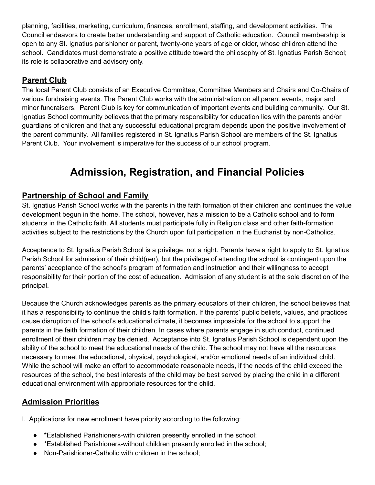planning, facilities, marketing, curriculum, finances, enrollment, staffing, and development activities. The Council endeavors to create better understanding and support of Catholic education. Council membership is open to any St. Ignatius parishioner or parent, twenty-one years of age or older, whose children attend the school. Candidates must demonstrate a positive attitude toward the philosophy of St. Ignatius Parish School; its role is collaborative and advisory only.

### **Parent Club**

The local Parent Club consists of an Executive Committee, Committee Members and Chairs and Co-Chairs of various fundraising events. The Parent Club works with the administration on all parent events, major and minor fundraisers. Parent Club is key for communication of important events and building community. Our St. Ignatius School community believes that the primary responsibility for education lies with the parents and/or guardians of children and that any successful educational program depends upon the positive involvement of the parent community. All families registered in St. Ignatius Parish School are members of the St. Ignatius Parent Club. Your involvement is imperative for the success of our school program.

## **Admission, Registration, and Financial Policies**

### **Partnership of School and Family**

St. Ignatius Parish School works with the parents in the faith formation of their children and continues the value development begun in the home. The school, however, has a mission to be a Catholic school and to form students in the Catholic faith. All students must participate fully in Religion class and other faith-formation activities subject to the restrictions by the Church upon full participation in the Eucharist by non-Catholics.

Acceptance to St. Ignatius Parish School is a privilege, not a right. Parents have a right to apply to St. Ignatius Parish School for admission of their child(ren), but the privilege of attending the school is contingent upon the parents' acceptance of the school's program of formation and instruction and their willingness to accept responsibility for their portion of the cost of education. Admission of any student is at the sole discretion of the principal.

Because the Church acknowledges parents as the primary educators of their children, the school believes that it has a responsibility to continue the child's faith formation. If the parents' public beliefs, values, and practices cause disruption of the school's educational climate, it becomes impossible for the school to support the parents in the faith formation of their children. In cases where parents engage in such conduct, continued enrollment of their children may be denied. Acceptance into St. Ignatius Parish School is dependent upon the ability of the school to meet the educational needs of the child. The school may not have all the resources necessary to meet the educational, physical, psychological, and/or emotional needs of an individual child. While the school will make an effort to accommodate reasonable needs, if the needs of the child exceed the resources of the school, the best interests of the child may be best served by placing the child in a different educational environment with appropriate resources for the child.

### **Admission Priorities**

I. Applications for new enrollment have priority according to the following:

- \*Established Parishioners-with children presently enrolled in the school;
- \*Established Parishioners-without children presently enrolled in the school;
- Non-Parishioner-Catholic with children in the school;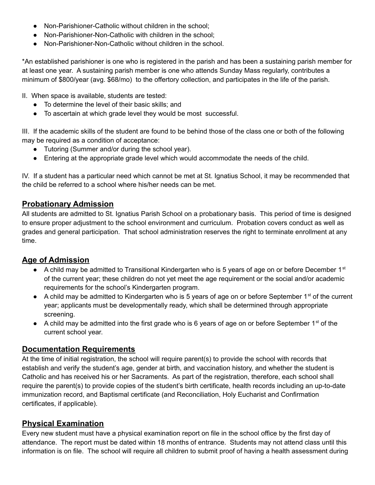- Non-Parishioner-Catholic without children in the school:
- Non-Parishioner-Non-Catholic with children in the school;
- Non-Parishioner-Non-Catholic without children in the school.

\*An established parishioner is one who is registered in the parish and has been a sustaining parish member for at least one year. A sustaining parish member is one who attends Sunday Mass regularly, contributes a minimum of \$800/year (avg. \$68/mo) to the offertory collection, and participates in the life of the parish.

II. When space is available, students are tested:

- To determine the level of their basic skills; and
- To ascertain at which grade level they would be most successful.

III. If the academic skills of the student are found to be behind those of the class one or both of the following may be required as a condition of acceptance:

- Tutoring (Summer and/or during the school year).
- Entering at the appropriate grade level which would accommodate the needs of the child.

IV. If a student has a particular need which cannot be met at St. Ignatius School, it may be recommended that the child be referred to a school where his/her needs can be met.

### **Probationary Admission**

All students are admitted to St. Ignatius Parish School on a probationary basis. This period of time is designed to ensure proper adjustment to the school environment and curriculum. Probation covers conduct as well as grades and general participation. That school administration reserves the right to terminate enrollment at any time.

### **Age of Admission**

- A child may be admitted to Transitional Kindergarten who is 5 years of age on or before December 1<sup>st</sup> of the current year; these children do not yet meet the age requirement or the social and/or academic requirements for the school's Kindergarten program.
- $\bullet$  A child may be admitted to Kindergarten who is 5 years of age on or before September 1<sup>st</sup> of the current year; applicants must be developmentally ready, which shall be determined through appropriate screening.
- $\bullet$  A child may be admitted into the first grade who is 6 years of age on or before September 1<sup>st</sup> of the current school year.

### **Documentation Requirements**

At the time of initial registration, the school will require parent(s) to provide the school with records that establish and verify the student's age, gender at birth, and vaccination history, and whether the student is Catholic and has received his or her Sacraments. As part of the registration, therefore, each school shall require the parent(s) to provide copies of the student's birth certificate, health records including an up-to-date immunization record, and Baptismal certificate (and Reconciliation, Holy Eucharist and Confirmation certificates, if applicable).

### **Physical Examination**

Every new student must have a physical examination report on file in the school office by the first day of attendance. The report must be dated within 18 months of entrance. Students may not attend class until this information is on file. The school will require all children to submit proof of having a health assessment during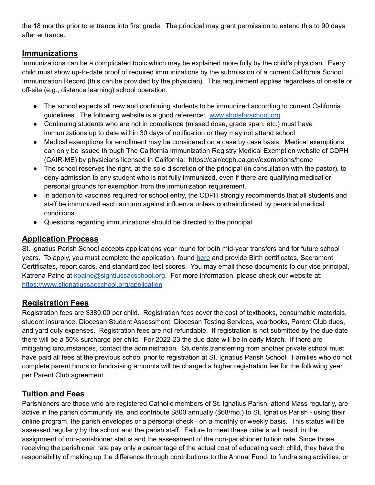the 18 months prior to entrance into first grade. The principal may grant permission to extend this to 90 days after entrance.

### **Immunizations**

Immunizations can be a complicated topic which may be explained more fully by the child's physician. Every child must show up-to-date proof of required immunizations by the submission of a current California School Immunization Record (this can be provided by the physician). This requirement applies regardless of on-site or off-site (e.g., distance learning) school operation.

- The school expects all new and continuing students to be immunized according to current California guidelines. The following website is a good reference: [www.shotsforschool.org](http://www.shotsforschool.org/)
- Continuing students who are not in compliance (missed dose, grade span, etc.) must have immunizations up to date within 30 days of notification or they may not attend school.
- Medical exemptions for enrollment may be considered on a case by case basis. Medical exemptions can only be issued through The California Immunization Registry Medical Exemption website of CDPH (CAIR-ME) by physicians licensed in California: https://cair/cdph.ca.gov/exemptions/home
- The school reserves the right, at the sole discretion of the principal (in consultation with the pastor), to deny admission to any student who is not fully immunized, even if there are qualifying medical or personal grounds for exemption from the immunization requirement.
- In addition to vaccines required for school entry, the CDPH strongly recommends that all students and staff be immunized each autumn against influenza unless contraindicated by personal medical conditions.
- Questions regarding immunizations should be directed to the principal.

### **Application Process**

St. Ignatius Parish School accepts applications year round for both mid-year transfers and for future school years. To apply, you must complete the application, found [here](https://dsca.schoolspeak.com/Public/FormsList.aspx?name=1_Admissio&Community=95825001&group=123) and provide Birth certificates, Sacrament Certificates, report cards, and standardized test scores. You may email those documents to our vice principal, Katrena Paine at [kpaine@signtiussacschool.org.](mailto:kpaine@signtiussacschool.org) For more information, please check our website at: <https://www.stignatiussacschool.org/application>

### **Registration Fees**

Registration fees are \$380.00 per child. Registration fees cover the cost of textbooks, consumable materials, student insurance, Diocesan Student Assessment, Diocesan Testing Services, yearbooks, Parent Club dues, and yard duty expenses. Registration fees are not refundable. If registration is not submitted by the due date there will be a 50% surcharge per child. For 2022-23 the due date will be in early March. If there are mitigating circumstances, contact the administration. Students transferring from another private school must have paid all fees at the previous school prior to registration at St. Ignatius Parish School. Families who do not complete parent hours or fundraising amounts will be charged a higher registration fee for the following year per Parent Club agreement.

### **Tuition and Fees**

Parishioners are those who are registered Catholic members of St. Ignatius Parish, attend Mass regularly, are active in the parish community life, and contribute \$800 annually (\$68/mo.) to St. Ignatius Parish - using their online program, the parish envelopes or a personal check - on a monthly or weekly basis. This status will be assessed regularly by the school and the parish staff. Failure to meet these criteria will result in the assignment of non-parishioner status and the assessment of the non-parishioner tuition rate. Since those receiving the parishioner rate pay only a percentage of the actual cost of educating each child, they have the responsibility of making up the difference through contributions to the Annual Fund, to fundraising activities, or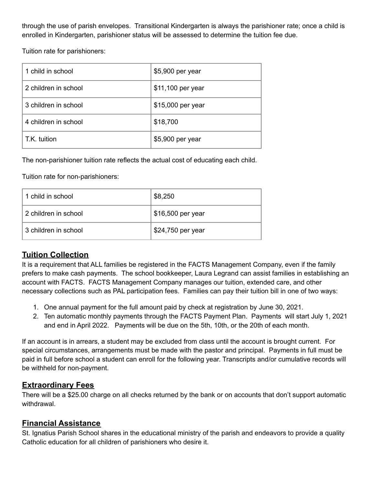through the use of parish envelopes. Transitional Kindergarten is always the parishioner rate; once a child is enrolled in Kindergarten, parishioner status will be assessed to determine the tuition fee due.

Tuition rate for parishioners:

| 1 child in school    | \$5,900 per year  |
|----------------------|-------------------|
| 2 children in school | \$11,100 per year |
| 3 children in school | \$15,000 per year |
| 4 children in school | \$18,700          |
| T.K. tuition         | \$5,900 per year  |

The non-parishioner tuition rate reflects the actual cost of educating each child.

Tuition rate for non-parishioners:

| 1 child in school    | \$8,250           |
|----------------------|-------------------|
| 2 children in school | \$16,500 per year |
| 3 children in school | \$24,750 per year |

### **Tuition Collection**

It is a requirement that ALL families be registered in the FACTS Management Company, even if the family prefers to make cash payments. The school bookkeeper, Laura Legrand can assist families in establishing an account with FACTS. FACTS Management Company manages our tuition, extended care, and other necessary collections such as PAL participation fees. Families can pay their tuition bill in one of two ways:

- 1. One annual payment for the full amount paid by check at registration by June 30, 2021.
- 2. Ten automatic monthly payments through the FACTS Payment Plan. Payments will start July 1, 2021 and end in April 2022. Payments will be due on the 5th, 10th, or the 20th of each month.

If an account is in arrears, a student may be excluded from class until the account is brought current. For special circumstances, arrangements must be made with the pastor and principal. Payments in full must be paid in full before school a student can enroll for the following year. Transcripts and/or cumulative records will be withheld for non-payment.

### **Extraordinary Fees**

There will be a \$25.00 charge on all checks returned by the bank or on accounts that don't support automatic withdrawal.

### **Financial Assistance**

St. Ignatius Parish School shares in the educational ministry of the parish and endeavors to provide a quality Catholic education for all children of parishioners who desire it.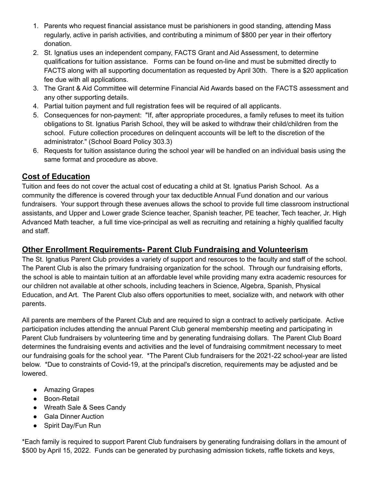- 1. Parents who request financial assistance must be parishioners in good standing, attending Mass regularly, active in parish activities, and contributing a minimum of \$800 per year in their offertory donation.
- 2. St. Ignatius uses an independent company, FACTS Grant and Aid Assessment, to determine qualifications for tuition assistance. Forms can be found on-line and must be submitted directly to FACTS along with all supporting documentation as requested by April 30th. There is a \$20 application fee due with all applications.
- 3. The Grant & Aid Committee will determine Financial Aid Awards based on the FACTS assessment and any other supporting details.
- 4. Partial tuition payment and full registration fees will be required of all applicants.
- 5. Consequences for non-payment: "If, after appropriate procedures, a family refuses to meet its tuition obligations to St. Ignatius Parish School, they will be asked to withdraw their child/children from the school. Future collection procedures on delinquent accounts will be left to the discretion of the administrator." (School Board Policy 303.3)
- 6. Requests for tuition assistance during the school year will be handled on an individual basis using the same format and procedure as above.

### **Cost of Education**

Tuition and fees do not cover the actual cost of educating a child at St. Ignatius Parish School. As a community the difference is covered through your tax deductible Annual Fund donation and our various fundraisers. Your support through these avenues allows the school to provide full time classroom instructional assistants, and Upper and Lower grade Science teacher, Spanish teacher, PE teacher, Tech teacher, Jr. High Advanced Math teacher, a full time vice-principal as well as recruiting and retaining a highly qualified faculty and staff.

### **Other Enrollment Requirements- Parent Club Fundraising and Volunteerism**

The St. Ignatius Parent Club provides a variety of support and resources to the faculty and staff of the school. The Parent Club is also the primary fundraising organization for the school. Through our fundraising efforts, the school is able to maintain tuition at an affordable level while providing many extra academic resources for our children not available at other schools, including teachers in Science, Algebra, Spanish, Physical Education, and Art. The Parent Club also offers opportunities to meet, socialize with, and network with other parents.

All parents are members of the Parent Club and are required to sign a contract to actively participate. Active participation includes attending the annual Parent Club general membership meeting and participating in Parent Club fundraisers by volunteering time and by generating fundraising dollars. The Parent Club Board determines the fundraising events and activities and the level of fundraising commitment necessary to meet our fundraising goals for the school year. \*The Parent Club fundraisers for the 2021-22 school-year are listed below. \*Due to constraints of Covid-19, at the principal's discretion, requirements may be adjusted and be lowered.

- Amazing Grapes
- Boon-Retail
- Wreath Sale & Sees Candy
- Gala Dinner Auction
- Spirit Day/Fun Run

\*Each family is required to support Parent Club fundraisers by generating fundraising dollars in the amount of \$500 by April 15, 2022. Funds can be generated by purchasing admission tickets, raffle tickets and keys,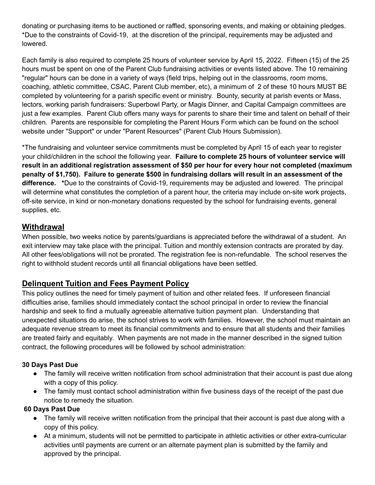donating or purchasing items to be auctioned or raffled, sponsoring events, and making or obtaining pledges. \*Due to the constraints of Covid-19, at the discretion of the principal, requirements may be adjusted and lowered.

Each family is also required to complete 25 hours of volunteer service by April 15, 2022. Fifteen (15) of the 25 hours must be spent on one of the Parent Club fundraising activities or events listed above. The 10 remaining "regular" hours can be done in a variety of ways (field trips, helping out in the classrooms, room moms, coaching, athletic committee, CSAC, Parent Club member, etc), a minimum of 2 of these 10 hours MUST BE completed by volunteering for a parish specific event or ministry. Bounty, security at parish events or Mass, lectors, working parish fundraisers: Superbowl Party, or Magis Dinner, and Capital Campaign committees are just a few examples. Parent Club offers many ways for parents to share their time and talent on behalf of their children. Parents are responsible for completing the Parent Hours Form which can be found on the school website under "Support" or under "Parent Resources" (Parent Club Hours Submission).

\*The fundraising and volunteer service commitments must be completed by April 15 of each year to register your child/children in the school the following year. **Failure to complete 25 hours of volunteer service will result in an additional registration assessment of \$50 per hour for every hour not completed (maximum penalty of \$1,750). Failure to generate \$500 in fundraising dollars will result in an assessment of the difference. \***Due to the constraints of Covid-19, requirements may be adjusted and lowered. The principal will determine what constitutes the completion of a parent hour, the criteria may include on-site work projects, off-site service, in kind or non-monetary donations requested by the school for fundraising events, general supplies, etc.

### **Withdrawal**

When possible, two weeks notice by parents/guardians is appreciated before the withdrawal of a student. An exit interview may take place with the principal. Tuition and monthly extension contracts are prorated by day. All other fees/obligations will not be prorated. The registration fee is non-refundable. The school reserves the right to withhold student records until all financial obligations have been settled.

### **Delinquent Tuition and Fees Payment Policy**

This policy outlines the need for timely payment of tuition and other related fees. If unforeseen financial difficulties arise, families should immediately contact the school principal in order to review the financial hardship and seek to find a mutually agreeable alternative tuition payment plan. Understanding that unexpected situations do arise, the school strives to work with families. However, the school must maintain an adequate revenue stream to meet its financial commitments and to ensure that all students and their families are treated fairly and equitably. When payments are not made in the manner described in the signed tuition contract, the following procedures will be followed by school administration:

#### **30 Days Past Due**

- The family will receive written notification from school administration that their account is past due along with a copy of this policy.
- The family must contact school administration within five business days of the receipt of the past due notice to remedy the situation.

#### **60 Days Past Due**

- The family will receive written notification from the principal that their account is past due along with a copy of this policy.
- At a minimum, students will not be permitted to participate in athletic activities or other extra-curricular activities until payments are current or an alternate payment plan is submitted by the family and approved by the principal.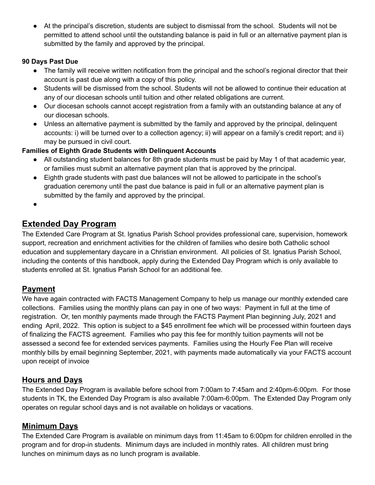● At the principal's discretion, students are subject to dismissal from the school. Students will not be permitted to attend school until the outstanding balance is paid in full or an alternative payment plan is submitted by the family and approved by the principal.

#### **90 Days Past Due**

- The family will receive written notification from the principal and the school's regional director that their account is past due along with a copy of this policy.
- Students will be dismissed from the school. Students will not be allowed to continue their education at any of our diocesan schools until tuition and other related obligations are current.
- Our diocesan schools cannot accept registration from a family with an outstanding balance at any of our diocesan schools.
- Unless an alternative payment is submitted by the family and approved by the principal, delinquent accounts: i) will be turned over to a collection agency; ii) will appear on a family's credit report; and ii) may be pursued in civil court.

#### **Families of Eighth Grade Students with Delinquent Accounts**

- All outstanding student balances for 8th grade students must be paid by May 1 of that academic year, or families must submit an alternative payment plan that is approved by the principal.
- Eighth grade students with past due balances will not be allowed to participate in the school's graduation ceremony until the past due balance is paid in full or an alternative payment plan is submitted by the family and approved by the principal.
- ●

## **Extended Day Program**

The Extended Care Program at St. Ignatius Parish School provides professional care, supervision, homework support, recreation and enrichment activities for the children of families who desire both Catholic school education and supplementary daycare in a Christian environment. All policies of St. Ignatius Parish School, including the contents of this handbook, apply during the Extended Day Program which is only available to students enrolled at St. Ignatius Parish School for an additional fee.

### **Payment**

We have again contracted with FACTS Management Company to help us manage our monthly extended care collections. Families using the monthly plans can pay in one of two ways: Payment in full at the time of registration. Or, ten monthly payments made through the FACTS Payment Plan beginning July, 2021 and ending April, 2022. This option is subject to a \$45 enrollment fee which will be processed within fourteen days of finalizing the FACTS agreement. Families who pay this fee for monthly tuition payments will not be assessed a second fee for extended services payments. Families using the Hourly Fee Plan will receive monthly bills by email beginning September, 2021, with payments made automatically via your FACTS account upon receipt of invoice

### **Hours and Days**

The Extended Day Program is available before school from 7:00am to 7:45am and 2:40pm-6:00pm. For those students in TK, the Extended Day Program is also available 7:00am-6:00pm. The Extended Day Program only operates on regular school days and is not available on holidays or vacations.

### **Minimum Days**

The Extended Care Program is available on minimum days from 11:45am to 6:00pm for children enrolled in the program and for drop-in students. Minimum days are included in monthly rates. All children must bring lunches on minimum days as no lunch program is available.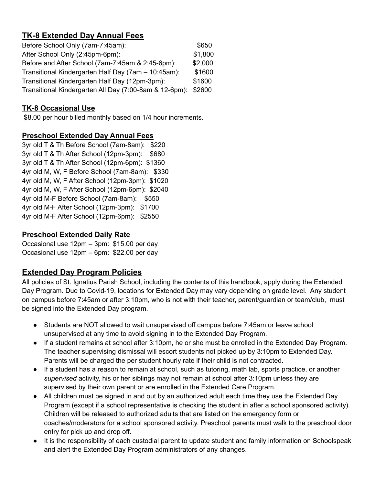### **TK-8 Extended Day Annual Fees**

| Before School Only (7am-7:45am):                       |         |
|--------------------------------------------------------|---------|
| After School Only (2:45pm-6pm):                        | \$1,800 |
| Before and After School (7am-7:45am & 2:45-6pm):       | \$2,000 |
| Transitional Kindergarten Half Day (7am – 10:45am):    | \$1600  |
| Transitional Kindergarten Half Day (12pm-3pm):         | \$1600  |
| Transitional Kindergarten All Day (7:00-8am & 12-6pm): | \$2600  |

### **TK-8 Occasional Use**

\$8.00 per hour billed monthly based on 1/4 hour increments.

### **Preschool Extended Day Annual Fees**

3yr old T & Th Before School (7am-8am): \$220 3yr old T & Th After School (12pm-3pm): \$680 3yr old T & Th After School (12pm-6pm): \$1360 4yr old M, W, F Before School (7am-8am): \$330 4yr old M, W, F After School (12pm-3pm): \$1020 4yr old M, W, F After School (12pm-6pm): \$2040 4yr old M-F Before School (7am-8am): \$550 4yr old M-F After School (12pm-3pm): \$1700 4yr old M-F After School (12pm-6pm): \$2550

### **Preschool Extended Daily Rate**

Occasional use 12pm – 3pm: \$15.00 per day Occasional use 12pm – 6pm: \$22.00 per day

## **Extended Day Program Policies**

All policies of St. Ignatius Parish School, including the contents of this handbook, apply during the Extended Day Program. Due to Covid-19, locations for Extended Day may vary depending on grade level. Any student on campus before 7:45am or after 3:10pm, who is not with their teacher, parent/guardian or team/club, must be signed into the Extended Day program.

- Students are NOT allowed to wait unsupervised off campus before 7:45am or leave school unsupervised at any time to avoid signing in to the Extended Day Program.
- If a student remains at school after 3:10pm, he or she must be enrolled in the Extended Day Program. The teacher supervising dismissal will escort students not picked up by 3:10pm to Extended Day. Parents will be charged the per student hourly rate if their child is not contracted.
- If a student has a reason to remain at school, such as tutoring, math lab, sports practice, or another *supervised* activity, his or her siblings may not remain at school after 3:10pm unless they are supervised by their own parent or are enrolled in the Extended Care Program.
- All children must be signed in and out by an authorized adult each time they use the Extended Day Program (except if a school representative is checking the student in after a school sponsored activity). Children will be released to authorized adults that are listed on the emergency form or coaches/moderators for a school sponsored activity. Preschool parents must walk to the preschool door entry for pick up and drop off.
- It is the responsibility of each custodial parent to update student and family information on Schoolspeak and alert the Extended Day Program administrators of any changes.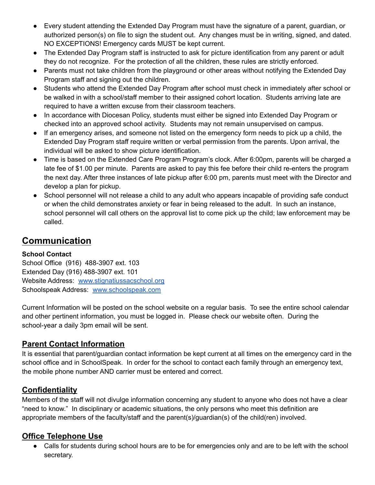- Every student attending the Extended Day Program must have the signature of a parent, guardian, or authorized person(s) on file to sign the student out. Any changes must be in writing, signed, and dated. NO EXCEPTIONS! Emergency cards MUST be kept current.
- The Extended Day Program staff is instructed to ask for picture identification from any parent or adult they do not recognize. For the protection of all the children, these rules are strictly enforced.
- Parents must not take children from the playground or other areas without notifying the Extended Day Program staff and signing out the children.
- Students who attend the Extended Day Program after school must check in immediately after school or be walked in with a school/staff member to their assigned cohort location. Students arriving late are required to have a written excuse from their classroom teachers.
- In accordance with Diocesan Policy, students must either be signed into Extended Day Program or checked into an approved school activity. Students may not remain unsupervised on campus.
- If an emergency arises, and someone not listed on the emergency form needs to pick up a child, the Extended Day Program staff require written or verbal permission from the parents. Upon arrival, the individual will be asked to show picture identification.
- Time is based on the Extended Care Program Program's clock. After 6:00pm, parents will be charged a late fee of \$1.00 per minute. Parents are asked to pay this fee before their child re-enters the program the next day. After three instances of late pickup after 6:00 pm, parents must meet with the Director and develop a plan for pickup.
- School personnel will not release a child to any adult who appears incapable of providing safe conduct or when the child demonstrates anxiety or fear in being released to the adult. In such an instance, school personnel will call others on the approval list to come pick up the child; law enforcement may be called.

## **Communication**

### **School Contact**

School Office (916) 488-3907 ext. 103 Extended Day (916) 488-3907 ext. 101 Website Address: [www.stignatiussacschool.org](http://www.stignatiussacschool.org) Schoolspeak Address: [www.schoolspeak.com](http://www.schoolspeak.com)

Current Information will be posted on the school website on a regular basis. To see the entire school calendar and other pertinent information, you must be logged in. Please check our website often. During the school-year a daily 3pm email will be sent.

### **Parent Contact Information**

It is essential that parent/guardian contact information be kept current at all times on the emergency card in the school office and in SchoolSpeak. In order for the school to contact each family through an emergency text, the mobile phone number AND carrier must be entered and correct.

### **Confidentiality**

Members of the staff will not divulge information concerning any student to anyone who does not have a clear "need to know." In disciplinary or academic situations, the only persons who meet this definition are appropriate members of the faculty/staff and the parent(s)/guardian(s) of the child(ren) involved.

### **Office Telephone Use**

• Calls for students during school hours are to be for emergencies only and are to be left with the school secretary.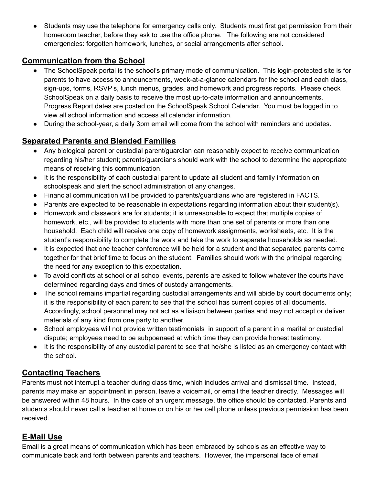Students may use the telephone for emergency calls only. Students must first get permission from their homeroom teacher, before they ask to use the office phone. The following are not considered emergencies: forgotten homework, lunches, or social arrangements after school.

### **Communication from the School**

- The SchoolSpeak portal is the school's primary mode of communication. This login-protected site is for parents to have access to announcements, week-at-a-glance calendars for the school and each class, sign-ups, forms, RSVP's, lunch menus, grades, and homework and progress reports. Please check SchoolSpeak on a daily basis to receive the most up-to-date information and announcements. Progress Report dates are posted on the SchoolSpeak School Calendar. You must be logged in to view all school information and access all calendar information.
- During the school-year, a daily 3pm email will come from the school with reminders and updates.

### **Separated Parents and Blended Families**

- Any biological parent or custodial parent/guardian can reasonably expect to receive communication regarding his/her student; parents/guardians should work with the school to determine the appropriate means of receiving this communication.
- It is the responsibility of each custodial parent to update all student and family information on schoolspeak and alert the school administration of any changes.
- Financial communication will be provided to parents/guardians who are registered in FACTS.
- Parents are expected to be reasonable in expectations regarding information about their student(s).
- Homework and classwork are for students; it is unreasonable to expect that multiple copies of homework, etc., will be provided to students with more than one set of parents or more than one household. Each child will receive one copy of homework assignments, worksheets, etc. It is the student's responsibility to complete the work and take the work to separate households as needed.
- It is expected that one teacher conference will be held for a student and that separated parents come together for that brief time to focus on the student. Families should work with the principal regarding the need for any exception to this expectation.
- To avoid conflicts at school or at school events, parents are asked to follow whatever the courts have determined regarding days and times of custody arrangements.
- The school remains impartial regarding custodial arrangements and will abide by court documents only; it is the responsibility of each parent to see that the school has current copies of all documents. Accordingly, school personnel may not act as a liaison between parties and may not accept or deliver materials of any kind from one party to another.
- School employees will not provide written testimonials in support of a parent in a marital or custodial dispute; employees need to be subpoenaed at which time they can provide honest testimony.
- It is the responsibility of any custodial parent to see that he/she is listed as an emergency contact with the school.

### **Contacting Teachers**

Parents must not interrupt a teacher during class time, which includes arrival and dismissal time. Instead, parents may make an appointment in person, leave a voicemail, or email the teacher directly. Messages will be answered within 48 hours. In the case of an urgent message, the office should be contacted. Parents and students should never call a teacher at home or on his or her cell phone unless previous permission has been received.

### **E-Mail Use**

Email is a great means of communication which has been embraced by schools as an effective way to communicate back and forth between parents and teachers. However, the impersonal face of email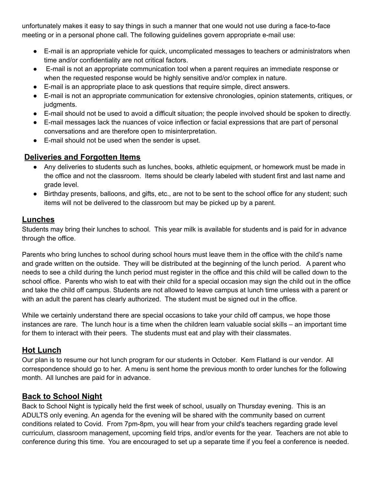unfortunately makes it easy to say things in such a manner that one would not use during a face-to-face meeting or in a personal phone call. The following guidelines govern appropriate e-mail use:

- E-mail is an appropriate vehicle for quick, uncomplicated messages to teachers or administrators when time and/or confidentiality are not critical factors.
- E-mail is not an appropriate communication tool when a parent requires an immediate response or when the requested response would be highly sensitive and/or complex in nature.
- E-mail is an appropriate place to ask questions that require simple, direct answers.
- E-mail is not an appropriate communication for extensive chronologies, opinion statements, critiques, or judgments.
- E-mail should not be used to avoid a difficult situation; the people involved should be spoken to directly.
- E-mail messages lack the nuances of voice inflection or facial expressions that are part of personal conversations and are therefore open to misinterpretation.
- E-mail should not be used when the sender is upset.

### **Deliveries and Forgotten Items**

- Any deliveries to students such as lunches, books, athletic equipment, or homework must be made in the office and not the classroom. Items should be clearly labeled with student first and last name and grade level.
- Birthday presents, balloons, and gifts, etc., are not to be sent to the school office for any student; such items will not be delivered to the classroom but may be picked up by a parent.

### **Lunches**

Students may bring their lunches to school. This year milk is available for students and is paid for in advance through the office.

Parents who bring lunches to school during school hours must leave them in the office with the child's name and grade written on the outside. They will be distributed at the beginning of the lunch period. A parent who needs to see a child during the lunch period must register in the office and this child will be called down to the school office. Parents who wish to eat with their child for a special occasion may sign the child out in the office and take the child off campus. Students are not allowed to leave campus at lunch time unless with a parent or with an adult the parent has clearly authorized. The student must be signed out in the office.

While we certainly understand there are special occasions to take your child off campus, we hope those instances are rare. The lunch hour is a time when the children learn valuable social skills – an important time for them to interact with their peers. The students must eat and play with their classmates.

#### **Hot Lunch**

Our plan is to resume our hot lunch program for our students in October. Kem Flatland is our vendor. All correspondence should go to her. A menu is sent home the previous month to order lunches for the following month. All lunches are paid for in advance.

### **Back to School Night**

Back to School Night is typically held the first week of school, usually on Thursday evening. This is an ADULTS only evening. An agenda for the evening will be shared with the community based on current conditions related to Covid. From 7pm-8pm, you will hear from your child's teachers regarding grade level curriculum, classroom management, upcoming field trips, and/or events for the year. Teachers are not able to conference during this time. You are encouraged to set up a separate time if you feel a conference is needed.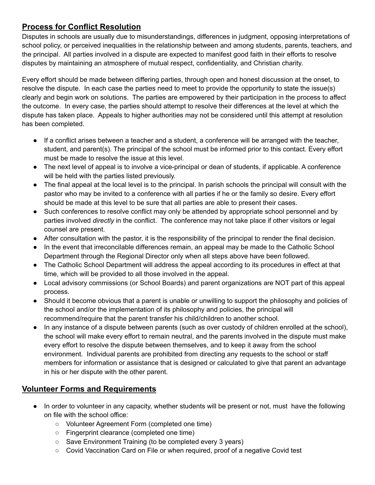### **Process for Conflict Resolution**

Disputes in schools are usually due to misunderstandings, differences in judgment, opposing interpretations of school policy, or perceived inequalities in the relationship between and among students, parents, teachers, and the principal. All parties involved in a dispute are expected to manifest good faith in their efforts to resolve disputes by maintaining an atmosphere of mutual respect, confidentiality, and Christian charity.

Every effort should be made between differing parties, through open and honest discussion at the onset, to resolve the dispute. In each case the parties need to meet to provide the opportunity to state the issue(s) clearly and begin work on solutions. The parties are empowered by their participation in the process to affect the outcome. In every case, the parties should attempt to resolve their differences at the level at which the dispute has taken place. Appeals to higher authorities may not be considered until this attempt at resolution has been completed.

- If a conflict arises between a teacher and a student, a conference will be arranged with the teacher, student, and parent(s). The principal of the school must be informed prior to this contact. Every effort must be made to resolve the issue at this level.
- The next level of appeal is to involve a vice-principal or dean of students, if applicable. A conference will be held with the parties listed previously.
- The final appeal at the local level is to the principal. In parish schools the principal will consult with the pastor who may be invited to a conference with all parties if he or the family so desire. Every effort should be made at this level to be sure that all parties are able to present their cases.
- Such conferences to resolve conflict may only be attended by appropriate school personnel and by parties involved *directly* in the conflict. The conference may not take place if other visitors or legal counsel are present.
- After consultation with the pastor, it is the responsibility of the principal to render the final decision.
- In the event that irreconcilable differences remain, an appeal may be made to the Catholic School Department through the Regional Director only when all steps above have been followed.
- The Catholic School Department will address the appeal according to its procedures in effect at that time, which will be provided to all those involved in the appeal.
- Local advisory commissions (or School Boards) and parent organizations are NOT part of this appeal process.
- Should it become obvious that a parent is unable or unwilling to support the philosophy and policies of the school and/or the implementation of its philosophy and policies, the principal will recommend/require that the parent transfer his child/children to another school.
- In any instance of a dispute between parents (such as over custody of children enrolled at the school), the school will make every effort to remain neutral, and the parents involved in the dispute must make every effort to resolve the dispute between themselves, and to keep it away from the school environment. Individual parents are prohibited from directing any requests to the school or staff members for information or assistance that is designed or calculated to give that parent an advantage in his or her dispute with the other parent.

### **Volunteer Forms and Requirements**

- In order to volunteer in any capacity, whether students will be present or not, must have the following on file with the school office:
	- Volunteer Agreement Form (completed one time)
	- Fingerprint clearance (completed one time)
	- Save Environment Training (to be completed every 3 years)
	- Covid Vaccination Card on File or when required, proof of a negative Covid test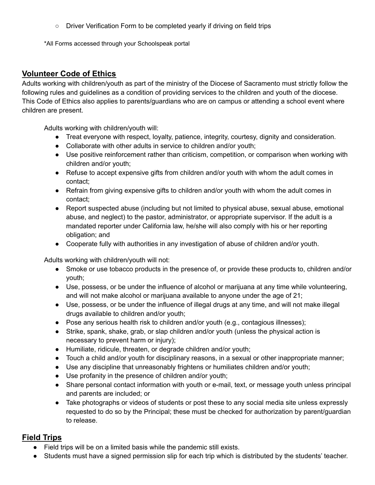○ Driver Verification Form to be completed yearly if driving on field trips

\*All Forms accessed through your Schoolspeak portal

### **Volunteer Code of Ethics**

Adults working with children/youth as part of the ministry of the Diocese of Sacramento must strictly follow the following rules and guidelines as a condition of providing services to the children and youth of the diocese. This Code of Ethics also applies to parents/guardians who are on campus or attending a school event where children are present.

Adults working with children/youth will:

- Treat everyone with respect, loyalty, patience, integrity, courtesy, dignity and consideration.
- Collaborate with other adults in service to children and/or youth;
- Use positive reinforcement rather than criticism, competition, or comparison when working with children and/or youth;
- Refuse to accept expensive gifts from children and/or youth with whom the adult comes in contact;
- Refrain from giving expensive gifts to children and/or youth with whom the adult comes in contact;
- Report suspected abuse (including but not limited to physical abuse, sexual abuse, emotional abuse, and neglect) to the pastor, administrator, or appropriate supervisor. If the adult is a mandated reporter under California law, he/she will also comply with his or her reporting obligation; and
- Cooperate fully with authorities in any investigation of abuse of children and/or youth.

Adults working with children/youth will not:

- Smoke or use tobacco products in the presence of, or provide these products to, children and/or youth;
- Use, possess, or be under the influence of alcohol or marijuana at any time while volunteering, and will not make alcohol or marijuana available to anyone under the age of 21;
- Use, possess, or be under the influence of illegal drugs at any time, and will not make illegal drugs available to children and/or youth;
- Pose any serious health risk to children and/or youth (e.g., contagious illnesses);
- Strike, spank, shake, grab, or slap children and/or youth (unless the physical action is necessary to prevent harm or injury);
- Humiliate, ridicule, threaten, or degrade children and/or youth;
- Touch a child and/or youth for disciplinary reasons, in a sexual or other inappropriate manner;
- Use any discipline that unreasonably frightens or humiliates children and/or youth;
- Use profanity in the presence of children and/or youth;
- Share personal contact information with youth or e-mail, text, or message youth unless principal and parents are included; or
- Take photographs or videos of students or post these to any social media site unless expressly requested to do so by the Principal; these must be checked for authorization by parent/guardian to release.

### **Field Trips**

- Field trips will be on a limited basis while the pandemic still exists.
- Students must have a signed permission slip for each trip which is distributed by the students' teacher.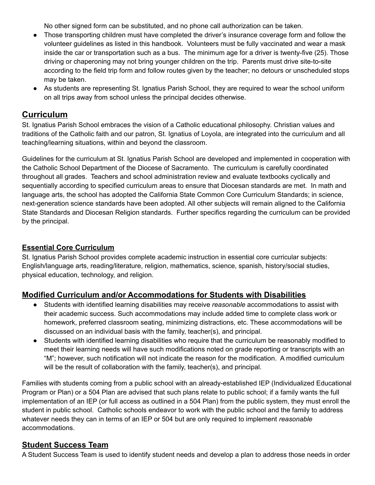No other signed form can be substituted, and no phone call authorization can be taken.

- Those transporting children must have completed the driver's insurance coverage form and follow the volunteer guidelines as listed in this handbook. Volunteers must be fully vaccinated and wear a mask inside the car or transportation such as a bus. The minimum age for a driver is twenty-five (25). Those driving or chaperoning may not bring younger children on the trip. Parents must drive site-to-site according to the field trip form and follow routes given by the teacher; no detours or unscheduled stops may be taken.
- As students are representing St. Ignatius Parish School, they are required to wear the school uniform on all trips away from school unless the principal decides otherwise.

### **Curriculum**

St. Ignatius Parish School embraces the vision of a Catholic educational philosophy. Christian values and traditions of the Catholic faith and our patron, St. Ignatius of Loyola, are integrated into the curriculum and all teaching/learning situations, within and beyond the classroom.

Guidelines for the curriculum at St. Ignatius Parish School are developed and implemented in cooperation with the Catholic School Department of the Diocese of Sacramento. The curriculum is carefully coordinated throughout all grades. Teachers and school administration review and evaluate textbooks cyclically and sequentially according to specified curriculum areas to ensure that Diocesan standards are met. In math and language arts, the school has adopted the California State Common Core Curriculum Standards; in science, next-generation science standards have been adopted. All other subjects will remain aligned to the California State Standards and Diocesan Religion standards. Further specifics regarding the curriculum can be provided by the principal.

### **Essential Core Curriculum**

St. Ignatius Parish School provides complete academic instruction in essential core curricular subjects: English/language arts, reading/literature, religion, mathematics, science, spanish, history/social studies, physical education, technology, and religion.

### **Modified Curriculum and/or Accommodations for Students with Disabilities**

- Students with identified learning disabilities may receive *reasonable* accommodations to assist with their academic success. Such accommodations may include added time to complete class work or homework, preferred classroom seating, minimizing distractions, etc. These accommodations will be discussed on an individual basis with the family, teacher(s), and principal.
- Students with identified learning disabilities who require that the curriculum be reasonably modified to meet their learning needs will have such modifications noted on grade reporting or transcripts with an "M"; however, such notification will not indicate the reason for the modification. A modified curriculum will be the result of collaboration with the family, teacher(s), and principal.

Families with students coming from a public school with an already-established IEP (Individualized Educational Program or Plan) or a 504 Plan are advised that such plans relate to public school; if a family wants the full implementation of an IEP (or full access as outlined in a 504 Plan) from the public system, they must enroll the student in public school. Catholic schools endeavor to work with the public school and the family to address whatever needs they can in terms of an IEP or 504 but are only required to implement *reasonable* accommodations.

### **Student Success Team**

A Student Success Team is used to identify student needs and develop a plan to address those needs in order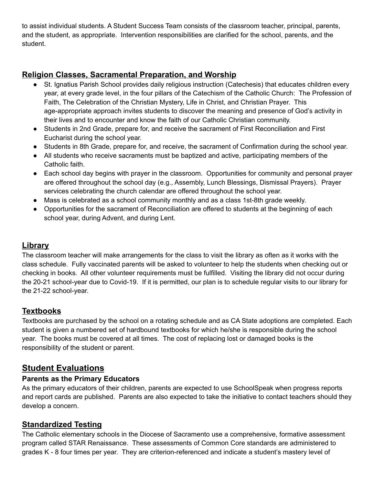to assist individual students. A Student Success Team consists of the classroom teacher, principal, parents, and the student, as appropriate. Intervention responsibilities are clarified for the school, parents, and the student.

### **Religion Classes, Sacramental Preparation, and Worship**

- St. Ignatius Parish School provides daily religious instruction (Catechesis) that educates children every year, at every grade level, in the four pillars of the Catechism of the Catholic Church: The Profession of Faith, The Celebration of the Christian Mystery, Life in Christ, and Christian Prayer. This age-appropriate approach invites students to discover the meaning and presence of God's activity in their lives and to encounter and know the faith of our Catholic Christian community.
- Students in 2nd Grade, prepare for, and receive the sacrament of First Reconciliation and First Eucharist during the school year.
- Students in 8th Grade, prepare for, and receive, the sacrament of Confirmation during the school year.
- All students who receive sacraments must be baptized and active, participating members of the Catholic faith.
- Each school day begins with prayer in the classroom. Opportunities for community and personal prayer are offered throughout the school day (e.g., Assembly, Lunch Blessings, Dismissal Prayers). Prayer services celebrating the church calendar are offered throughout the school year.
- Mass is celebrated as a school community monthly and as a class 1st-8th grade weekly.
- Opportunities for the sacrament of Reconciliation are offered to students at the beginning of each school year, during Advent, and during Lent.

### **Library**

The classroom teacher will make arrangements for the class to visit the library as often as it works with the class schedule. Fully vaccinated parents will be asked to volunteer to help the students when checking out or checking in books. All other volunteer requirements must be fulfilled. Visiting the library did not occur during the 20-21 school-year due to Covid-19. If it is permitted, our plan is to schedule regular visits to our library for the 21-22 school-year.

### **Textbooks**

Textbooks are purchased by the school on a rotating schedule and as CA State adoptions are completed. Each student is given a numbered set of hardbound textbooks for which he/she is responsible during the school year. The books must be covered at all times. The cost of replacing lost or damaged books is the responsibility of the student or parent.

### **Student Evaluations**

#### **Parents as the Primary Educators**

As the primary educators of their children, parents are expected to use SchoolSpeak when progress reports and report cards are published. Parents are also expected to take the initiative to contact teachers should they develop a concern.

### **Standardized Testing**

The Catholic elementary schools in the Diocese of Sacramento use a comprehensive, formative assessment program called STAR Renaissance. These assessments of Common Core standards are administered to grades K - 8 four times per year. They are criterion-referenced and indicate a student's mastery level of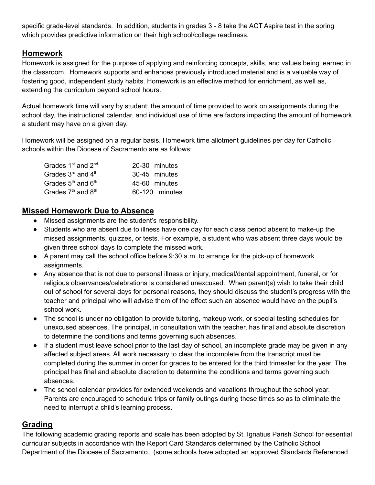specific grade-level standards. In addition, students in grades 3 - 8 take the ACT Aspire test in the spring which provides predictive information on their high school/college readiness.

### **Homework**

Homework is assigned for the purpose of applying and reinforcing concepts, skills, and values being learned in the classroom. Homework supports and enhances previously introduced material and is a valuable way of fostering good, independent study habits. Homework is an effective method for enrichment, as well as, extending the curriculum beyond school hours.

Actual homework time will vary by student; the amount of time provided to work on assignments during the school day, the instructional calendar, and individual use of time are factors impacting the amount of homework a student may have on a given day.

Homework will be assigned on a regular basis. Homework time allotment guidelines per day for Catholic schools within the Diocese of Sacramento are as follows:

| Grades 1 <sup>st</sup> and 2 <sup>nd</sup> | 20-30 minutes  |
|--------------------------------------------|----------------|
| Grades $3^{\text{rd}}$ and $4^{\text{th}}$ | 30-45 minutes  |
| Grades $5th$ and $6th$                     | 45-60 minutes  |
| Grades 7 <sup>th</sup> and 8 <sup>th</sup> | 60-120 minutes |

#### **Missed Homework Due to Absence**

- Missed assignments are the student's responsibility.
- Students who are absent due to illness have one day for each class period absent to make-up the missed assignments, quizzes, or tests. For example, a student who was absent three days would be given three school days to complete the missed work.
- A parent may call the school office before 9:30 a.m. to arrange for the pick-up of homework assignments.
- Any absence that is not due to personal illness or injury, medical/dental appointment, funeral, or for religious observances/celebrations is considered unexcused. When parent(s) wish to take their child out of school for several days for personal reasons, they should discuss the student's progress with the teacher and principal who will advise them of the effect such an absence would have on the pupil's school work.
- The school is under no obligation to provide tutoring, makeup work, or special testing schedules for unexcused absences. The principal, in consultation with the teacher, has final and absolute discretion to determine the conditions and terms governing such absences.
- If a student must leave school prior to the last day of school, an incomplete grade may be given in any affected subject areas. All work necessary to clear the incomplete from the transcript must be completed during the summer in order for grades to be entered for the third trimester for the year. The principal has final and absolute discretion to determine the conditions and terms governing such absences.
- The school calendar provides for extended weekends and vacations throughout the school year. Parents are encouraged to schedule trips or family outings during these times so as to eliminate the need to interrupt a child's learning process.

#### **Grading**

The following academic grading reports and scale has been adopted by St. Ignatius Parish School for essential curricular subjects in accordance with the Report Card Standards determined by the Catholic School Department of the Diocese of Sacramento. (some schools have adopted an approved Standards Referenced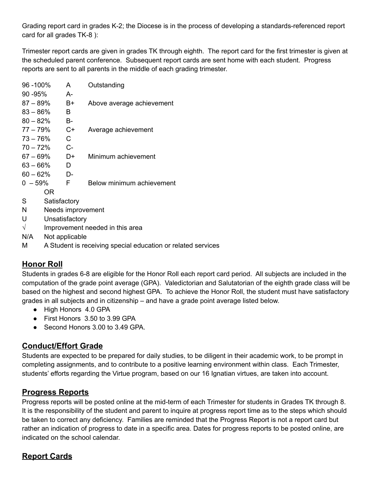Grading report card in grades K-2; the Diocese is in the process of developing a standards-referenced report card for all grades TK-8 ):

Trimester report cards are given in grades TK through eighth. The report card for the first trimester is given at the scheduled parent conference. Subsequent report cards are sent home with each student. Progress reports are sent to all parents in the middle of each grading trimester.

| 96 -100%   |              | A                 | Outstanding               |
|------------|--------------|-------------------|---------------------------|
| 90 -95%    |              | А-                |                           |
| 87 – 89%   |              | B+                | Above average achievement |
| 83 – 86%   |              | в                 |                           |
| $80 - 82%$ |              | B-                |                           |
| 77 – 79%   |              | $C+$              | Average achievement       |
| 73 – 76%   |              | С                 |                           |
| $70 - 72%$ |              | $C-$              |                           |
| 67 – 69%   |              | D+                | Minimum achievement       |
| 63 – 66%   |              | D                 |                           |
| 60 – 62%   |              | D-                |                           |
| $0 - 59\%$ |              | F                 | Below minimum achievement |
|            | OR           |                   |                           |
| S          | Satisfactory |                   |                           |
| N          |              | Needs improvement |                           |
| U          |              | Unsatisfactory    |                           |

- $\sqrt{ }$  Improvement needed in this area
- N/A Not applicable
- M A Student is receiving special education or related services

### **Honor Roll**

Students in grades 6-8 are eligible for the Honor Roll each report card period. All subjects are included in the computation of the grade point average (GPA). Valedictorian and Salutatorian of the eighth grade class will be based on the highest and second highest GPA. To achieve the Honor Roll, the student must have satisfactory grades in all subjects and in citizenship – and have a grade point average listed below.

- High Honors 4.0 GPA
- First Honors 3.50 to 3.99 GPA
- Second Honors 3.00 to 3.49 GPA.

### **Conduct/Effort Grade**

Students are expected to be prepared for daily studies, to be diligent in their academic work, to be prompt in completing assignments, and to contribute to a positive learning environment within class. Each Trimester, students' efforts regarding the Virtue program, based on our 16 Ignatian virtues, are taken into account.

### **Progress Reports**

Progress reports will be posted online at the mid-term of each Trimester for students in Grades TK through 8. It is the responsibility of the student and parent to inquire at progress report time as to the steps which should be taken to correct any deficiency. Families are reminded that the Progress Report is not a report card but rather an indication of progress to date in a specific area. Dates for progress reports to be posted online, are indicated on the school calendar.

### **Report Cards**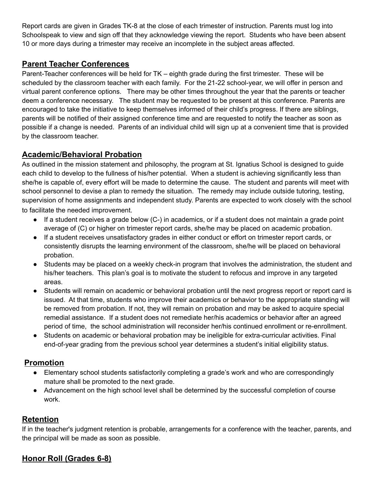Report cards are given in Grades TK-8 at the close of each trimester of instruction. Parents must log into Schoolspeak to view and sign off that they acknowledge viewing the report. Students who have been absent 10 or more days during a trimester may receive an incomplete in the subject areas affected.

### **Parent Teacher Conferences**

Parent-Teacher conferences will be held for TK – eighth grade during the first trimester. These will be scheduled by the classroom teacher with each family. For the 21-22 school-year, we will offer in person and virtual parent conference options. There may be other times throughout the year that the parents or teacher deem a conference necessary. The student may be requested to be present at this conference. Parents are encouraged to take the initiative to keep themselves informed of their child's progress. If there are siblings, parents will be notified of their assigned conference time and are requested to notify the teacher as soon as possible if a change is needed. Parents of an individual child will sign up at a convenient time that is provided by the classroom teacher.

### **Academic/Behavioral Probation**

As outlined in the mission statement and philosophy, the program at St. Ignatius School is designed to guide each child to develop to the fullness of his/her potential. When a student is achieving significantly less than she/he is capable of, every effort will be made to determine the cause. The student and parents will meet with school personnel to devise a plan to remedy the situation. The remedy may include outside tutoring, testing, supervision of home assignments and independent study. Parents are expected to work closely with the school to facilitate the needed improvement.

- $\bullet$  If a student receives a grade below (C-) in academics, or if a student does not maintain a grade point average of (C) or higher on trimester report cards, she/he may be placed on academic probation.
- If a student receives unsatisfactory grades in either conduct or effort on trimester report cards, or consistently disrupts the learning environment of the classroom, she/he will be placed on behavioral probation.
- Students may be placed on a weekly check-in program that involves the administration, the student and his/her teachers. This plan's goal is to motivate the student to refocus and improve in any targeted areas.
- Students will remain on academic or behavioral probation until the next progress report or report card is issued. At that time, students who improve their academics or behavior to the appropriate standing will be removed from probation. If not, they will remain on probation and may be asked to acquire special remedial assistance. If a student does not remediate her/his academics or behavior after an agreed period of time, the school administration will reconsider her/his continued enrollment or re-enrollment.
- Students on academic or behavioral probation may be ineligible for extra-curricular activities. Final end-of-year grading from the previous school year determines a student's initial eligibility status.

### **Promotion**

- Elementary school students satisfactorily completing a grade's work and who are correspondingly mature shall be promoted to the next grade.
- Advancement on the high school level shall be determined by the successful completion of course work.

### **Retention**

If in the teacher's judgment retention is probable, arrangements for a conference with the teacher, parents, and the principal will be made as soon as possible.

### **Honor Roll (Grades 6-8)**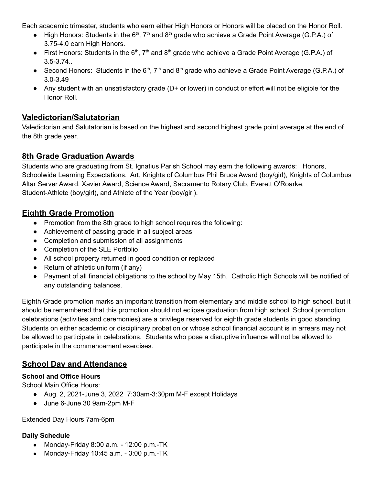Each academic trimester, students who earn either High Honors or Honors will be placed on the Honor Roll.

- High Honors: Students in the  $6<sup>th</sup>$ , 7<sup>th</sup> and  $8<sup>th</sup>$  grade who achieve a Grade Point Average (G.P.A.) of 3.75-4.0 earn High Honors.
- First Honors: Students in the  $6<sup>th</sup>$ , 7<sup>th</sup> and  $8<sup>th</sup>$  grade who achieve a Grade Point Average (G.P.A.) of 3.5-3.74..
- Second Honors: Students in the  $6<sup>th</sup>$ ,  $7<sup>th</sup>$  and  $8<sup>th</sup>$  grade who achieve a Grade Point Average (G.P.A.) of 3.0-3.49
- Any student with an unsatisfactory grade (D+ or lower) in conduct or effort will not be eligible for the Honor Roll.

### **Valedictorian/Salutatorian**

Valedictorian and Salutatorian is based on the highest and second highest grade point average at the end of the 8th grade year.

### **8th Grade Graduation Awards**

Students who are graduating from St. Ignatius Parish School may earn the following awards: Honors, Schoolwide Learning Expectations, Art, Knights of Columbus Phil Bruce Award (boy/girl), Knights of Columbus Altar Server Award, Xavier Award, Science Award, Sacramento Rotary Club, Everett O'Roarke, Student-Athlete (boy/girl), and Athlete of the Year (boy/girl).

### **Eighth Grade Promotion**

- Promotion from the 8th grade to high school requires the following:
- Achievement of passing grade in all subject areas
- Completion and submission of all assignments
- Completion of the SLE Portfolio
- All school property returned in good condition or replaced
- Return of athletic uniform (if any)
- Payment of all financial obligations to the school by May 15th. Catholic High Schools will be notified of any outstanding balances.

Eighth Grade promotion marks an important transition from elementary and middle school to high school, but it should be remembered that this promotion should not eclipse graduation from high school. School promotion celebrations (activities and ceremonies) are a privilege reserved for eighth grade students in good standing. Students on either academic or disciplinary probation or whose school financial account is in arrears may not be allowed to participate in celebrations. Students who pose a disruptive influence will not be allowed to participate in the commencement exercises.

### **School Day and Attendance**

#### **School and Office Hours**

School Main Office Hours:

- Aug. 2, 2021-June 3, 2022 7:30am-3:30pm M-F except Holidays
- June 6-June 30 9am-2pm M-F

#### Extended Day Hours 7am-6pm

#### **Daily Schedule**

- Monday-Friday 8:00 a.m. 12:00 p.m.-TK
- Monday-Friday 10:45 a.m. 3:00 p.m.-TK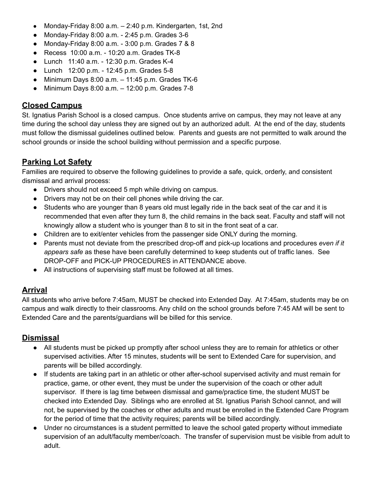- Monday-Friday 8:00 a.m. 2:40 p.m. Kindergarten, 1st, 2nd
- Monday-Friday 8:00 a.m. 2:45 p.m. Grades 3-6
- Monday-Friday 8:00 a.m. 3:00 p.m. Grades 7 & 8
- Recess 10:00 a.m. 10:20 a.m. Grades TK-8
- Lunch 11:40 a.m. 12:30 p.m. Grades K-4
- Lunch 12:00 p.m. 12:45 p.m. Grades 5-8
- $\bullet$  Minimum Days 8:00 a.m.  $-$  11:45 p.m. Grades TK-6
- Minimum Days 8:00 a.m. 12:00 p.m. Grades 7-8

### **Closed Campus**

St. Ignatius Parish School is a closed campus. Once students arrive on campus, they may not leave at any time during the school day unless they are signed out by an authorized adult. At the end of the day, students must follow the dismissal guidelines outlined below. Parents and guests are not permitted to walk around the school grounds or inside the school building without permission and a specific purpose.

### **Parking Lot Safety**

Families are required to observe the following guidelines to provide a safe, quick, orderly, and consistent dismissal and arrival process:

- Drivers should not exceed 5 mph while driving on campus.
- Drivers may not be on their cell phones while driving the car.
- Students who are younger than 8 years old must legally ride in the back seat of the car and it is recommended that even after they turn 8, the child remains in the back seat. Faculty and staff will not knowingly allow a student who is younger than 8 to sit in the front seat of a car.
- Children are to exit/enter vehicles from the passenger side ONLY during the morning.
- Parents must not deviate from the prescribed drop-off and pick-up locations and procedures *even if it appears safe* as these have been carefully determined to keep students out of traffic lanes. See DROP-OFF and PICK-UP PROCEDURES in ATTENDANCE above.
- All instructions of supervising staff must be followed at all times.

### **Arrival**

All students who arrive before 7:45am, MUST be checked into Extended Day. At 7:45am, students may be on campus and walk directly to their classrooms. Any child on the school grounds before 7:45 AM will be sent to Extended Care and the parents/guardians will be billed for this service.

#### **Dismissal**

- All students must be picked up promptly after school unless they are to remain for athletics or other supervised activities. After 15 minutes, students will be sent to Extended Care for supervision, and parents will be billed accordingly.
- If students are taking part in an athletic or other after-school supervised activity and must remain for practice, game, or other event, they must be under the supervision of the coach or other adult supervisor. If there is lag time between dismissal and game/practice time, the student MUST be checked into Extended Day. Siblings who are enrolled at St. Ignatius Parish School cannot, and will not, be supervised by the coaches or other adults and must be enrolled in the Extended Care Program for the period of time that the activity requires; parents will be billed accordingly.
- Under no circumstances is a student permitted to leave the school gated property without immediate supervision of an adult/faculty member/coach. The transfer of supervision must be visible from adult to adult.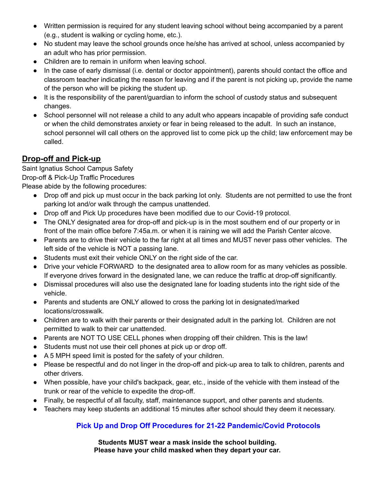- Written permission is required for any student leaving school without being accompanied by a parent (e.g., student is walking or cycling home, etc.).
- No student may leave the school grounds once he/she has arrived at school, unless accompanied by an adult who has prior permission.
- Children are to remain in uniform when leaving school.
- In the case of early dismissal (i.e. dental or doctor appointment), parents should contact the office and classroom teacher indicating the reason for leaving and if the parent is not picking up, provide the name of the person who will be picking the student up.
- It is the responsibility of the parent/guardian to inform the school of custody status and subsequent changes.
- School personnel will not release a child to any adult who appears incapable of providing safe conduct or when the child demonstrates anxiety or fear in being released to the adult. In such an instance, school personnel will call others on the approved list to come pick up the child; law enforcement may be called.

## **Drop-off and Pick-up**

Saint Ignatius School Campus Safety Drop-off & Pick-Up Traffic Procedures

Please abide by the following procedures:

- Drop off and pick up must occur in the back parking lot only. Students are not permitted to use the front parking lot and/or walk through the campus unattended.
- Drop off and Pick Up procedures have been modified due to our Covid-19 protocol.
- The ONLY designated area for drop-off and pick-up is in the most southern end of our property or in front of the main office before 7:45a.m. or when it is raining we will add the Parish Center alcove.
- Parents are to drive their vehicle to the far right at all times and MUST never pass other vehicles. The left side of the vehicle is NOT a passing lane.
- Students must exit their vehicle ONLY on the right side of the car.
- Drive your vehicle FORWARD to the designated area to allow room for as many vehicles as possible. If everyone drives forward in the designated lane, we can reduce the traffic at drop-off significantly.
- Dismissal procedures will also use the designated lane for loading students into the right side of the vehicle.
- Parents and students are ONLY allowed to cross the parking lot in designated/marked locations/crosswalk.
- Children are to walk with their parents or their designated adult in the parking lot. Children are not permitted to walk to their car unattended.
- Parents are NOT TO USE CELL phones when dropping off their children. This is the law!
- Students must not use their cell phones at pick up or drop off.
- A 5 MPH speed limit is posted for the safety of your children.
- Please be respectful and do not linger in the drop-off and pick-up area to talk to children, parents and other drivers.
- When possible, have your child's backpack, gear, etc., inside of the vehicle with them instead of the trunk or rear of the vehicle to expedite the drop-off.
- Finally, be respectful of all faculty, staff, maintenance support, and other parents and students.
- Teachers may keep students an additional 15 minutes after school should they deem it necessary.

### **Pick Up and Drop Off Procedures for 21-22 Pandemic/Covid Protocols**

**Students MUST wear a mask inside the school building. Please have your child masked when they depart your car.**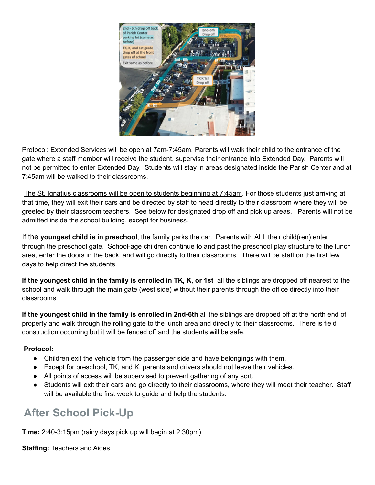

Protocol: Extended Services will be open at 7am-7:45am. Parents will walk their child to the entrance of the gate where a staff member will receive the student, supervise their entrance into Extended Day. Parents will not be permitted to enter Extended Day. Students will stay in areas designated inside the Parish Center and at 7:45am will be walked to their classrooms.

The St. Ignatius classrooms will be open to students beginning at 7:45am. For those students just arriving at that time, they will exit their cars and be directed by staff to head directly to their classroom where they will be greeted by their classroom teachers. See below for designated drop off and pick up areas. Parents will not be admitted inside the school building, except for business.

If the **youngest child is in preschool**, the family parks the car. Parents with ALL their child(ren) enter through the preschool gate. School-age children continue to and past the preschool play structure to the lunch area, enter the doors in the back and will go directly to their classrooms. There will be staff on the first few days to help direct the students.

**If the youngest child in the family is enrolled in TK, K, or 1st** all the siblings are dropped off nearest to the school and walk through the main gate (west side) without their parents through the office directly into their classrooms.

**If the youngest child in the family is enrolled in 2nd-6th** all the siblings are dropped off at the north end of property and walk through the rolling gate to the lunch area and directly to their classrooms. There is field construction occurring but it will be fenced off and the students will be safe.

#### **Protocol:**

- Children exit the vehicle from the passenger side and have belongings with them.
- Except for preschool, TK, and K, parents and drivers should not leave their vehicles.
- All points of access will be supervised to prevent gathering of any sort.
- Students will exit their cars and go directly to their classrooms, where they will meet their teacher. Staff will be available the first week to guide and help the students.

## **After School Pick-Up**

**Time:** 2:40-3:15pm (rainy days pick up will begin at 2:30pm)

**Staffing:** Teachers and Aides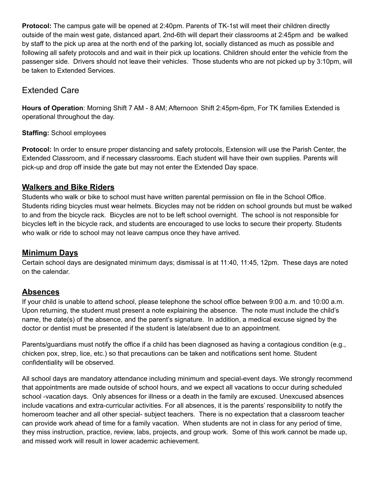**Protocol:** The campus gate will be opened at 2:40pm. Parents of TK-1st will meet their children directly outside of the main west gate, distanced apart. 2nd-6th will depart their classrooms at 2:45pm and be walked by staff to the pick up area at the north end of the parking lot, socially distanced as much as possible and following all safety protocols and and wait in their pick up locations. Children should enter the vehicle from the passenger side. Drivers should not leave their vehicles. Those students who are not picked up by 3:10pm, will be taken to Extended Services.

### Extended Care

**Hours of Operation**: Morning Shift 7 AM - 8 AM; Afternoon Shift 2:45pm-6pm, For TK families Extended is operational throughout the day.

#### **Staffing:** School employees

**Protocol:** In order to ensure proper distancing and safety protocols, Extension will use the Parish Center, the Extended Classroom, and if necessary classrooms. Each student will have their own supplies. Parents will pick-up and drop off inside the gate but may not enter the Extended Day space.

#### **Walkers and Bike Riders**

Students who walk or bike to school must have written parental permission on file in the School Office. Students riding bicycles must wear helmets. Bicycles may not be ridden on school grounds but must be walked to and from the bicycle rack. Bicycles are not to be left school overnight. The school is not responsible for bicycles left in the bicycle rack, and students are encouraged to use locks to secure their property. Students who walk or ride to school may not leave campus once they have arrived.

#### **Minimum Days**

Certain school days are designated minimum days; dismissal is at 11:40, 11:45, 12pm. These days are noted on the calendar.

### **Absences**

If your child is unable to attend school, please telephone the school office between 9:00 a.m. and 10:00 a.m. Upon returning, the student must present a note explaining the absence. The note must include the child's name, the date(s) of the absence, and the parent's signature. In addition, a medical excuse signed by the doctor or dentist must be presented if the student is late/absent due to an appointment.

Parents/guardians must notify the office if a child has been diagnosed as having a contagious condition (e.g., chicken pox, strep, lice, etc.) so that precautions can be taken and notifications sent home. Student confidentiality will be observed.

All school days are mandatory attendance including minimum and special-event days. We strongly recommend that appointments are made outside of school hours, and we expect all vacations to occur during scheduled school -vacation days. Only absences for illness or a death in the family are excused. Unexcused absences include vacations and extra-curricular activities. For all absences, it is the parents' responsibility to notify the homeroom teacher and all other special- subject teachers. There is no expectation that a classroom teacher can provide work ahead of time for a family vacation. When students are not in class for any period of time, they miss instruction, practice, review, labs, projects, and group work. Some of this work cannot be made up, and missed work will result in lower academic achievement.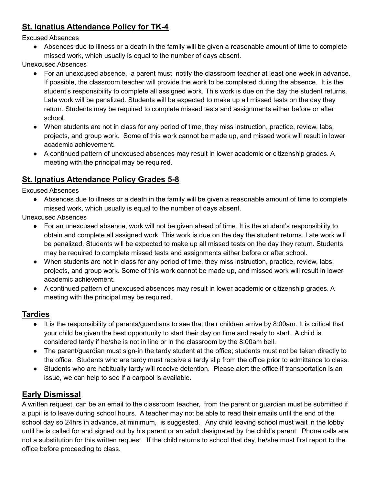### **St. Ignatius Attendance Policy for TK-4**

Excused Absences

● Absences due to illness or a death in the family will be given a reasonable amount of time to complete missed work, which usually is equal to the number of days absent.

Unexcused Absences

- For an unexcused absence, a parent must notify the classroom teacher at least one week in advance. If possible, the classroom teacher will provide the work to be completed during the absence. It is the student's responsibility to complete all assigned work. This work is due on the day the student returns. Late work will be penalized. Students will be expected to make up all missed tests on the day they return. Students may be required to complete missed tests and assignments either before or after school.
- When students are not in class for any period of time, they miss instruction, practice, review, labs, projects, and group work. Some of this work cannot be made up, and missed work will result in lower academic achievement.
- A continued pattern of unexcused absences may result in lower academic or citizenship grades. A meeting with the principal may be required.

## **St. Ignatius Attendance Policy Grades 5-8**

Excused Absences

● Absences due to illness or a death in the family will be given a reasonable amount of time to complete missed work, which usually is equal to the number of days absent.

Unexcused Absences

- For an unexcused absence, work will not be given ahead of time. It is the student's responsibility to obtain and complete all assigned work. This work is due on the day the student returns. Late work will be penalized. Students will be expected to make up all missed tests on the day they return. Students may be required to complete missed tests and assignments either before or after school.
- When students are not in class for any period of time, they miss instruction, practice, review, labs, projects, and group work. Some of this work cannot be made up, and missed work will result in lower academic achievement.
- A continued pattern of unexcused absences may result in lower academic or citizenship grades. A meeting with the principal may be required.

### **Tardies**

- It is the responsibility of parents/guardians to see that their children arrive by 8:00am. It is critical that your child be given the best opportunity to start their day on time and ready to start. A child is considered tardy if he/she is not in line or in the classroom by the 8:00am bell.
- The parent/guardian must sign-in the tardy student at the office; students must not be taken directly to the office. Students who are tardy must receive a tardy slip from the office prior to admittance to class.
- Students who are habitually tardy will receive detention. Please alert the office if transportation is an issue, we can help to see if a carpool is available.

### **Early Dismissal**

A written request, can be an email to the classroom teacher, from the parent or guardian must be submitted if a pupil is to leave during school hours. A teacher may not be able to read their emails until the end of the school day so 24hrs in advance, at minimum, is suggested. Any child leaving school must wait in the lobby until he is called for and signed out by his parent or an adult designated by the child's parent. Phone calls are not a substitution for this written request. If the child returns to school that day, he/she must first report to the office before proceeding to class.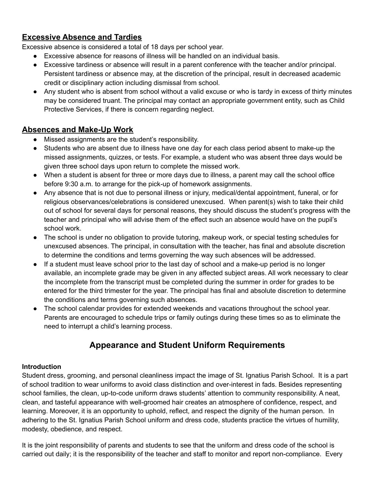### **Excessive Absence and Tardies**

Excessive absence is considered a total of 18 days per school year.

- Excessive absence for reasons of illness will be handled on an individual basis.
- Excessive tardiness or absence will result in a parent conference with the teacher and/or principal. Persistent tardiness or absence may, at the discretion of the principal, result in decreased academic credit or disciplinary action including dismissal from school.
- Any student who is absent from school without a valid excuse or who is tardy in excess of thirty minutes may be considered truant. The principal may contact an appropriate government entity, such as Child Protective Services, if there is concern regarding neglect.

### **Absences and Make-Up Work**

- Missed assignments are the student's responsibility.
- Students who are absent due to illness have one day for each class period absent to make-up the missed assignments, quizzes, or tests. For example, a student who was absent three days would be given three school days upon return to complete the missed work.
- When a student is absent for three or more days due to illness, a parent may call the school office before 9:30 a.m. to arrange for the pick-up of homework assignments.
- Any absence that is not due to personal illness or injury, medical/dental appointment, funeral, or for religious observances/celebrations is considered unexcused. When parent(s) wish to take their child out of school for several days for personal reasons, they should discuss the student's progress with the teacher and principal who will advise them of the effect such an absence would have on the pupil's school work.
- The school is under no obligation to provide tutoring, makeup work, or special testing schedules for unexcused absences. The principal, in consultation with the teacher, has final and absolute discretion to determine the conditions and terms governing the way such absences will be addressed.
- If a student must leave school prior to the last day of school and a make-up period is no longer available, an incomplete grade may be given in any affected subject areas. All work necessary to clear the incomplete from the transcript must be completed during the summer in order for grades to be entered for the third trimester for the year. The principal has final and absolute discretion to determine the conditions and terms governing such absences.
- The school calendar provides for extended weekends and vacations throughout the school year. Parents are encouraged to schedule trips or family outings during these times so as to eliminate the need to interrupt a child's learning process.

## **Appearance and Student Uniform Requirements**

#### **Introduction**

Student dress, grooming, and personal cleanliness impact the image of St. Ignatius Parish School. It is a part of school tradition to wear uniforms to avoid class distinction and over-interest in fads. Besides representing school families, the clean, up-to-code uniform draws students' attention to community responsibility. A neat, clean, and tasteful appearance with well-groomed hair creates an atmosphere of confidence, respect, and learning. Moreover, it is an opportunity to uphold, reflect, and respect the dignity of the human person. In adhering to the St. Ignatius Parish School uniform and dress code, students practice the virtues of humility, modesty, obedience, and respect.

It is the joint responsibility of parents and students to see that the uniform and dress code of the school is carried out daily; it is the responsibility of the teacher and staff to monitor and report non-compliance. Every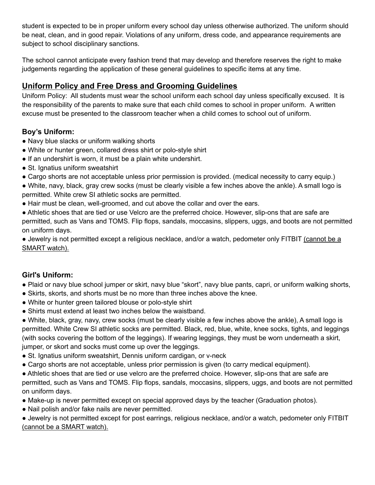student is expected to be in proper uniform every school day unless otherwise authorized. The uniform should be neat, clean, and in good repair. Violations of any uniform, dress code, and appearance requirements are subject to school disciplinary sanctions.

The school cannot anticipate every fashion trend that may develop and therefore reserves the right to make judgements regarding the application of these general guidelines to specific items at any time.

### **Uniform Policy and Free Dress and Grooming Guidelines**

Uniform Policy: All students must wear the school uniform each school day unless specifically excused. It is the responsibility of the parents to make sure that each child comes to school in proper uniform. A written excuse must be presented to the classroom teacher when a child comes to school out of uniform.

#### **Boy's Uniform:**

- Navy blue slacks or uniform walking shorts
- White or hunter green, collared dress shirt or polo-style shirt
- If an undershirt is worn, it must be a plain white undershirt.
- St. Ignatius uniform sweatshirt
- Cargo shorts are not acceptable unless prior permission is provided. (medical necessity to carry equip.)
- White, navy, black, gray crew socks (must be clearly visible a few inches above the ankle). A small logo is permitted. White crew SI athletic socks are permitted.
- Hair must be clean, well-groomed, and cut above the collar and over the ears.
- Athletic shoes that are tied or use Velcro are the preferred choice. However, slip-ons that are safe are permitted, such as Vans and TOMS. Flip flops, sandals, moccasins, slippers, uggs, and boots are not permitted on uniform days.

● Jewelry is not permitted except a religious necklace, and/or a watch, pedometer only FITBIT (cannot be a SMART watch).

### **Girl's Uniform:**

- Plaid or navy blue school jumper or skirt, navy blue "skort", navy blue pants, capri, or uniform walking shorts,
- Skirts, skorts, and shorts must be no more than three inches above the knee.
- White or hunter green tailored blouse or polo-style shirt
- Shirts must extend at least two inches below the waistband.

● White, black, gray, navy, crew socks (must be clearly visible a few inches above the ankle), A small logo is permitted. White Crew SI athletic socks are permitted. Black, red, blue, white, knee socks, tights, and leggings (with socks covering the bottom of the leggings). If wearing leggings, they must be worn underneath a skirt, jumper, or skort and socks must come up over the leggings.

- St. Ignatius uniform sweatshirt, Dennis uniform cardigan, or v-neck
- Cargo shorts are not acceptable, unless prior permission is given (to carry medical equipment).
- Athletic shoes that are tied or use velcro are the preferred choice. However, slip-ons that are safe are permitted, such as Vans and TOMS. Flip flops, sandals, moccasins, slippers, uggs, and boots are not permitted on uniform days.
- Make-up is never permitted except on special approved days by the teacher (Graduation photos).
- Nail polish and/or fake nails are never permitted.
- Jewelry is not permitted except for post earrings, religious necklace, and/or a watch, pedometer only FITBIT (cannot be a SMART watch).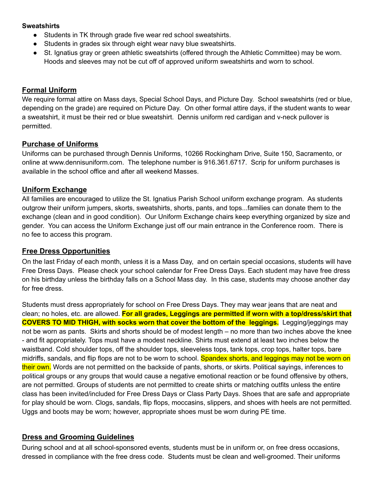#### **Sweatshirts**

- Students in TK through grade five wear red school sweatshirts.
- Students in grades six through eight wear navy blue sweatshirts.
- St. Ignatius gray or green athletic sweatshirts (offered through the Athletic Committee) may be worn. Hoods and sleeves may not be cut off of approved uniform sweatshirts and worn to school.

#### **Formal Uniform**

We require formal attire on Mass days, Special School Days, and Picture Day. School sweatshirts (red or blue, depending on the grade) are required on Picture Day. On other formal attire days, if the student wants to wear a sweatshirt, it must be their red or blue sweatshirt. Dennis uniform red cardigan and v-neck pullover is permitted.

#### **Purchase of Uniforms**

Uniforms can be purchased through Dennis Uniforms, 10266 Rockingham Drive, Suite 150, Sacramento, or online at www.dennisuniform.com. The telephone number is 916.361.6717. Scrip for uniform purchases is available in the school office and after all weekend Masses.

#### **Uniform Exchange**

All families are encouraged to utilize the St. Ignatius Parish School uniform exchange program. As students outgrow their uniform jumpers, skorts, sweatshirts, shorts, pants, and tops...families can donate them to the exchange (clean and in good condition). Our Uniform Exchange chairs keep everything organized by size and gender. You can access the Uniform Exchange just off our main entrance in the Conference room. There is no fee to access this program.

#### **Free Dress Opportunities**

On the last Friday of each month, unless it is a Mass Day, and on certain special occasions, students will have Free Dress Days. Please check your school calendar for Free Dress Days. Each student may have free dress on his birthday unless the birthday falls on a School Mass day. In this case, students may choose another day for free dress.

Students must dress appropriately for school on Free Dress Days. They may wear jeans that are neat and clean; no holes, etc. are allowed. **For all grades, Leggings are permitted if worn with a top/dress/skirt that COVERS TO MID THIGH, with socks worn that cover the bottom of the leggings.** Legging/jeggings may not be worn as pants. Skirts and shorts should be of modest length – no more than two inches above the knee - and fit appropriately. Tops must have a modest neckline. Shirts must extend at least two inches below the waistband. Cold shoulder tops, off the shoulder tops, sleeveless tops, tank tops, crop tops, halter tops, bare midriffs, sandals, and flip flops are not to be worn to school. Spandex shorts, and leggings may not be worn on their own. Words are not permitted on the backside of pants, shorts, or skirts. Political sayings, inferences to political groups or any groups that would cause a negative emotional reaction or be found offensive by others, are not permitted. Groups of students are not permitted to create shirts or matching outfits unless the entire class has been invited/included for Free Dress Days or Class Party Days. Shoes that are safe and appropriate for play should be worn. Clogs, sandals, flip flops, moccasins, slippers, and shoes with heels are not permitted. Uggs and boots may be worn; however, appropriate shoes must be worn during PE time.

#### **Dress and Grooming Guidelines**

During school and at all school-sponsored events, students must be in uniform or, on free dress occasions, dressed in compliance with the free dress code. Students must be clean and well-groomed. Their uniforms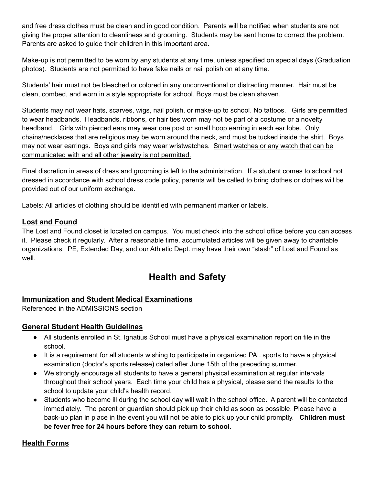and free dress clothes must be clean and in good condition. Parents will be notified when students are not giving the proper attention to cleanliness and grooming. Students may be sent home to correct the problem. Parents are asked to guide their children in this important area.

Make-up is not permitted to be worn by any students at any time, unless specified on special days (Graduation photos). Students are not permitted to have fake nails or nail polish on at any time.

Students' hair must not be bleached or colored in any unconventional or distracting manner. Hair must be clean, combed, and worn in a style appropriate for school. Boys must be clean shaven.

Students may not wear hats, scarves, wigs, nail polish, or make-up to school. No tattoos. Girls are permitted to wear headbands. Headbands, ribbons, or hair ties worn may not be part of a costume or a novelty headband. Girls with pierced ears may wear one post or small hoop earring in each ear lobe. Only chains/necklaces that are religious may be worn around the neck, and must be tucked inside the shirt. Boys may not wear earrings. Boys and girls may wear wristwatches. Smart watches or any watch that can be communicated with and all other jewelry is not permitted.

Final discretion in areas of dress and grooming is left to the administration. If a student comes to school not dressed in accordance with school dress code policy, parents will be called to bring clothes or clothes will be provided out of our uniform exchange.

Labels: All articles of clothing should be identified with permanent marker or labels.

#### **Lost and Found**

The Lost and Found closet is located on campus. You must check into the school office before you can access it. Please check it regularly. After a reasonable time, accumulated articles will be given away to charitable organizations. PE, Extended Day, and our Athletic Dept. may have their own "stash" of Lost and Found as well.

## **Health and Safety**

#### **Immunization and Student Medical Examinations**

Referenced in the ADMISSIONS section

#### **General Student Health Guidelines**

- All students enrolled in St. Ignatius School must have a physical examination report on file in the school.
- It is a requirement for all students wishing to participate in organized PAL sports to have a physical examination (doctor's sports release) dated after June 15th of the preceding summer.
- We strongly encourage all students to have a general physical examination at regular intervals throughout their school years. Each time your child has a physical, please send the results to the school to update your child's health record.
- Students who become ill during the school day will wait in the school office. A parent will be contacted immediately. The parent or guardian should pick up their child as soon as possible. Please have a back-up plan in place in the event you will not be able to pick up your child promptly. **Children must be fever free for 24 hours before they can return to school.**

#### **Health Forms**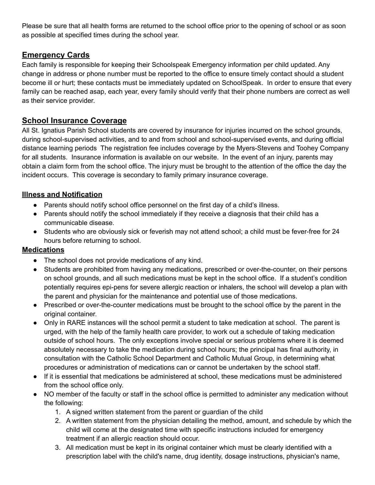Please be sure that all health forms are returned to the school office prior to the opening of school or as soon as possible at specified times during the school year.

### **Emergency Cards**

Each family is responsible for keeping their Schoolspeak Emergency information per child updated. Any change in address or phone number must be reported to the office to ensure timely contact should a student become ill or hurt; these contacts must be immediately updated on SchoolSpeak. In order to ensure that every family can be reached asap, each year, every family should verify that their phone numbers are correct as well as their service provider.

### **School Insurance Coverage**

All St. Ignatius Parish School students are covered by insurance for injuries incurred on the school grounds, during school-supervised activities, and to and from school and school-supervised events, and during official distance learning periods The registration fee includes coverage by the Myers-Stevens and Toohey Company for all students. Insurance information is available on our website. In the event of an injury, parents may obtain a claim form from the school office. The injury must be brought to the attention of the office the day the incident occurs. This coverage is secondary to family primary insurance coverage.

#### **Illness and Notification**

- Parents should notify school office personnel on the first day of a child's illness.
- Parents should notify the school immediately if they receive a diagnosis that their child has a communicable disease.
- Students who are obviously sick or feverish may not attend school; a child must be fever-free for 24 hours before returning to school.

#### **Medications**

- The school does not provide medications of any kind.
- Students are prohibited from having any medications, prescribed or over-the-counter, on their persons on school grounds, and all such medications must be kept in the school office. If a student's condition potentially requires epi-pens for severe allergic reaction or inhalers, the school will develop a plan with the parent and physician for the maintenance and potential use of those medications.
- Prescribed or over-the-counter medications must be brought to the school office by the parent in the original container.
- Only in RARE instances will the school permit a student to take medication at school. The parent is urged, with the help of the family health care provider, to work out a schedule of taking medication outside of school hours. The only exceptions involve special or serious problems where it is deemed absolutely necessary to take the medication during school hours; the principal has final authority, in consultation with the Catholic School Department and Catholic Mutual Group, in determining what procedures or administration of medications can or cannot be undertaken by the school staff.
- If it is essential that medications be administered at school, these medications must be administered from the school office only.
- NO member of the faculty or staff in the school office is permitted to administer any medication without the following:
	- 1. A signed written statement from the parent or guardian of the child
	- 2. A written statement from the physician detailing the method, amount, and schedule by which the child will come at the designated time with specific instructions included for emergency treatment if an allergic reaction should occur.
	- 3. All medication must be kept in its original container which must be clearly identified with a prescription label with the child's name, drug identity, dosage instructions, physician's name,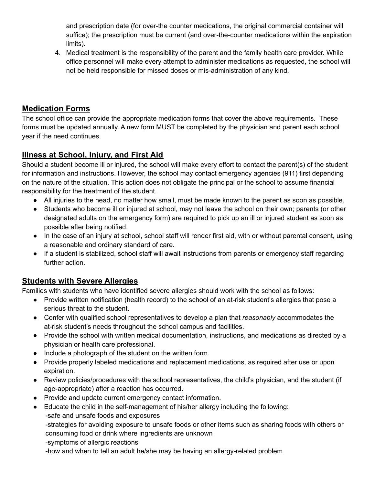and prescription date (for over-the counter medications, the original commercial container will suffice); the prescription must be current (and over-the-counter medications within the expiration limits).

4. Medical treatment is the responsibility of the parent and the family health care provider. While office personnel will make every attempt to administer medications as requested, the school will not be held responsible for missed doses or mis-administration of any kind.

### **Medication Forms**

The school office can provide the appropriate medication forms that cover the above requirements. These forms must be updated annually. A new form MUST be completed by the physician and parent each school year if the need continues.

### **Illness at School, Injury, and First Aid**

Should a student become ill or injured, the school will make every effort to contact the parent(s) of the student for information and instructions. However, the school may contact emergency agencies (911) first depending on the nature of the situation. This action does not obligate the principal or the school to assume financial responsibility for the treatment of the student.

- All injuries to the head, no matter how small, must be made known to the parent as soon as possible.
- Students who become ill or injured at school, may not leave the school on their own; parents (or other designated adults on the emergency form) are required to pick up an ill or injured student as soon as possible after being notified.
- In the case of an injury at school, school staff will render first aid, with or without parental consent, using a reasonable and ordinary standard of care.
- If a student is stabilized, school staff will await instructions from parents or emergency staff regarding further action.

### **Students with Severe Allergies**

Families with students who have identified severe allergies should work with the school as follows:

- Provide written notification (health record) to the school of an at-risk student's allergies that pose a serious threat to the student.
- Confer with qualified school representatives to develop a plan that *reasonably* accommodates the at-risk student's needs throughout the school campus and facilities.
- Provide the school with written medical documentation, instructions, and medications as directed by a physician or health care professional.
- Include a photograph of the student on the written form.
- Provide properly labeled medications and replacement medications, as required after use or upon expiration.
- Review policies/procedures with the school representatives, the child's physician, and the student (if age-appropriate) after a reaction has occurred.
- Provide and update current emergency contact information.
- Educate the child in the self-management of his/her allergy including the following:

-safe and unsafe foods and exposures

-strategies for avoiding exposure to unsafe foods or other items such as sharing foods with others or consuming food or drink where ingredients are unknown

-symptoms of allergic reactions

-how and when to tell an adult he/she may be having an allergy-related problem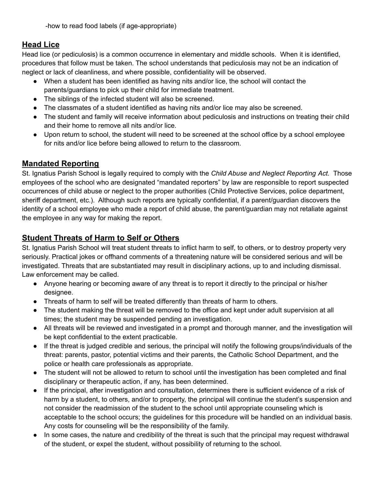-how to read food labels (if age-appropriate)

### **Head Lice**

Head lice (or pediculosis) is a common occurrence in elementary and middle schools. When it is identified, procedures that follow must be taken. The school understands that pediculosis may not be an indication of neglect or lack of cleanliness, and where possible, confidentiality will be observed.

- When a student has been identified as having nits and/or lice, the school will contact the parents/guardians to pick up their child for immediate treatment.
- The siblings of the infected student will also be screened.
- The classmates of a student identified as having nits and/or lice may also be screened.
- The student and family will receive information about pediculosis and instructions on treating their child and their home to remove all nits and/or lice.
- Upon return to school, the student will need to be screened at the school office by a school employee for nits and/or lice before being allowed to return to the classroom.

### **Mandated Reporting**

St. Ignatius Parish School is legally required to comply with the *Child Abuse and Neglect Reporting Act.* Those employees of the school who are designated "mandated reporters" by law are responsible to report suspected occurrences of child abuse or neglect to the proper authorities (Child Protective Services, police department, sheriff department, etc.). Although such reports are typically confidential, if a parent/guardian discovers the identity of a school employee who made a report of child abuse, the parent/guardian may not retaliate against the employee in any way for making the report.

### **Student Threats of Harm to Self or Others**

St. Ignatius Parish School will treat student threats to inflict harm to self, to others, or to destroy property very seriously. Practical jokes or offhand comments of a threatening nature will be considered serious and will be investigated. Threats that are substantiated may result in disciplinary actions, up to and including dismissal. Law enforcement may be called.

- Anyone hearing or becoming aware of any threat is to report it directly to the principal or his/her designee.
- Threats of harm to self will be treated differently than threats of harm to others.
- The student making the threat will be removed to the office and kept under adult supervision at all times; the student may be suspended pending an investigation.
- All threats will be reviewed and investigated in a prompt and thorough manner, and the investigation will be kept confidential to the extent practicable.
- If the threat is judged credible and serious, the principal will notify the following groups/individuals of the threat: parents, pastor, potential victims and their parents, the Catholic School Department, and the police or health care professionals as appropriate.
- The student will not be allowed to return to school until the investigation has been completed and final disciplinary or therapeutic action, if any, has been determined.
- If the principal, after investigation and consultation, determines there is sufficient evidence of a risk of harm by a student, to others, and/or to property, the principal will continue the student's suspension and not consider the readmission of the student to the school until appropriate counseling which is acceptable to the school occurs; the guidelines for this procedure will be handled on an individual basis. Any costs for counseling will be the responsibility of the family.
- In some cases, the nature and credibility of the threat is such that the principal may request withdrawal of the student, or expel the student, without possibility of returning to the school.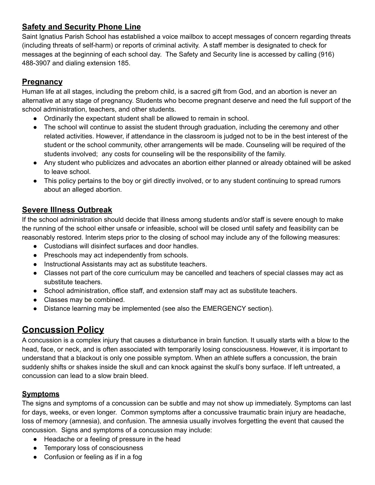### **Safety and Security Phone Line**

Saint Ignatius Parish School has established a voice mailbox to accept messages of concern regarding threats (including threats of self-harm) or reports of criminal activity. A staff member is designated to check for messages at the beginning of each school day. The Safety and Security line is accessed by calling (916) 488-3907 and dialing extension 185.

### **Pregnancy**

Human life at all stages, including the preborn child, is a sacred gift from God, and an abortion is never an alternative at any stage of pregnancy. Students who become pregnant deserve and need the full support of the school administration, teachers, and other students.

- Ordinarily the expectant student shall be allowed to remain in school.
- The school will continue to assist the student through graduation, including the ceremony and other related activities. However, if attendance in the classroom is judged not to be in the best interest of the student or the school community, other arrangements will be made. Counseling will be required of the students involved; any costs for counseling will be the responsibility of the family.
- Any student who publicizes and advocates an abortion either planned or already obtained will be asked to leave school.
- This policy pertains to the boy or girl directly involved, or to any student continuing to spread rumors about an alleged abortion.

### **Severe Illness Outbreak**

If the school administration should decide that illness among students and/or staff is severe enough to make the running of the school either unsafe or infeasible, school will be closed until safety and feasibility can be reasonably restored. Interim steps prior to the closing of school may include any of the following measures:

- Custodians will disinfect surfaces and door handles.
- Preschools may act independently from schools.
- Instructional Assistants may act as substitute teachers.
- Classes not part of the core curriculum may be cancelled and teachers of special classes may act as substitute teachers.
- School administration, office staff, and extension staff may act as substitute teachers.
- Classes may be combined.
- Distance learning may be implemented (see also the EMERGENCY section).

## **Concussion Policy**

A concussion is a complex injury that causes a disturbance in brain function. It usually starts with a blow to the head, face, or neck, and is often associated with temporarily losing consciousness. However, it is important to understand that a blackout is only one possible symptom. When an athlete suffers a concussion, the brain suddenly shifts or shakes inside the skull and can knock against the skull's bony surface. If left untreated, a concussion can lead to a slow brain bleed.

### **Symptoms**

The signs and symptoms of a concussion can be subtle and may not show up immediately. Symptoms can last for days, weeks, or even longer. Common symptoms after a concussive traumatic brain injury are headache, loss of memory (amnesia), and confusion. The amnesia usually involves forgetting the event that caused the concussion. Signs and symptoms of a concussion may include:

- Headache or a feeling of pressure in the head
- Temporary loss of consciousness
- Confusion or feeling as if in a fog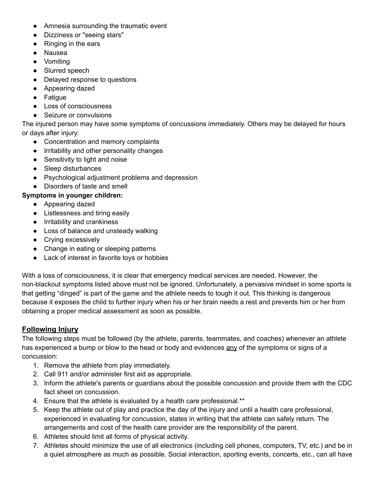- Amnesia surrounding the traumatic event
- Dizziness or "seeing stars"
- Ringing in the ears
- Nausea
- Vomiting
- Slurred speech
- Delayed response to questions
- Appearing dazed
- Fatigue
- Loss of consciousness
- Seizure or convulsions

The injured person may have some symptoms of concussions immediately. Others may be delayed for hours or days after injury:

- Concentration and memory complaints
- Irritability and other personality changes
- Sensitivity to light and noise
- Sleep disturbances
- Psychological adjustment problems and depression
- Disorders of taste and smell

#### **Symptoms in younger children:**

- Appearing dazed
- Listlessness and tiring easily
- Irritability and crankiness
- Loss of balance and unsteady walking
- Crying excessively
- Change in eating or sleeping patterns
- Lack of interest in favorite toys or hobbies

With a loss of consciousness, it is clear that emergency medical services are needed. However, the non-blackout symptoms listed above must not be ignored. Unfortunately, a pervasive mindset in some sports is that getting "dinged" is part of the game and the athlete needs to tough it out. This thinking is dangerous because it exposes the child to further injury when his or her brain needs a rest and prevents him or her from obtaining a proper medical assessment as soon as possible.

#### **Following Injury**

The following steps must be followed (by the athlete, parents, teammates, and coaches) whenever an athlete has experienced a bump or blow to the head or body and evidences any of the symptoms or signs of a concussion:

- 1. Remove the athlete from play immediately.
- 2. Call 911 and/or administer first aid as appropriate.
- 3. Inform the athlete's parents or guardians about the possible concussion and provide them with the CDC fact sheet on concussion.
- 4. Ensure that the athlete is evaluated by a health care professional.\*\*
- 5. Keep the athlete out of play and practice the day of the injury and until a health care professional, experienced in evaluating for concussion, states in writing that the athlete can safely return. The arrangements and cost of the health care provider are the responsibility of the parent.
- 6. Athletes should limit all forms of physical activity.
- 7. Athletes should minimize the use of all electronics (including cell phones, computers, TV, etc.) and be in a quiet atmosphere as much as possible. Social interaction, sporting events, concerts, etc., can all have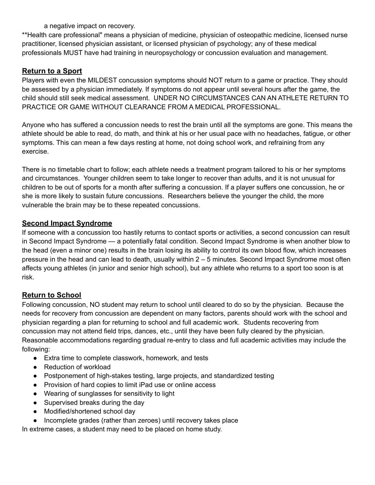a negative impact on recovery.

\*\*Health care professional" means a physician of medicine, physician of osteopathic medicine, licensed nurse practitioner, licensed physician assistant, or licensed physician of psychology; any of these medical professionals MUST have had training in neuropsychology or concussion evaluation and management.

#### **Return to a Sport**

Players with even the MILDEST concussion symptoms should NOT return to a game or practice. They should be assessed by a physician immediately. If symptoms do not appear until several hours after the game, the child should still seek medical assessment. UNDER NO CIRCUMSTANCES CAN AN ATHLETE RETURN TO PRACTICE OR GAME WITHOUT CLEARANCE FROM A MEDICAL PROFESSIONAL.

Anyone who has suffered a concussion needs to rest the brain until all the symptoms are gone. This means the athlete should be able to read, do math, and think at his or her usual pace with no headaches, fatigue, or other symptoms. This can mean a few days resting at home, not doing school work, and refraining from any exercise.

There is no timetable chart to follow; each athlete needs a treatment program tailored to his or her symptoms and circumstances. Younger children seem to take longer to recover than adults, and it is not unusual for children to be out of sports for a month after suffering a concussion. If a player suffers one concussion, he or she is more likely to sustain future concussions. Researchers believe the younger the child, the more vulnerable the brain may be to these repeated concussions.

#### **Second Impact Syndrome**

If someone with a concussion too hastily returns to contact sports or activities, a second concussion can result in Second Impact Syndrome — a potentially fatal condition. Second Impact Syndrome is when another blow to the head (even a minor one) results in the brain losing its ability to control its own blood flow, which increases pressure in the head and can lead to death, usually within 2 – 5 minutes. Second Impact Syndrome most often affects young athletes (in junior and senior high school), but any athlete who returns to a sport too soon is at risk.

#### **Return to School**

Following concussion, NO student may return to school until cleared to do so by the physician. Because the needs for recovery from concussion are dependent on many factors, parents should work with the school and physician regarding a plan for returning to school and full academic work. Students recovering from concussion may not attend field trips, dances, etc., until they have been fully cleared by the physician. Reasonable accommodations regarding gradual re-entry to class and full academic activities may include the following:

- Extra time to complete classwork, homework, and tests
- Reduction of workload
- Postponement of high-stakes testing, large projects, and standardized testing
- Provision of hard copies to limit iPad use or online access
- Wearing of sunglasses for sensitivity to light
- Supervised breaks during the day
- Modified/shortened school day
- Incomplete grades (rather than zeroes) until recovery takes place

In extreme cases, a student may need to be placed on home study.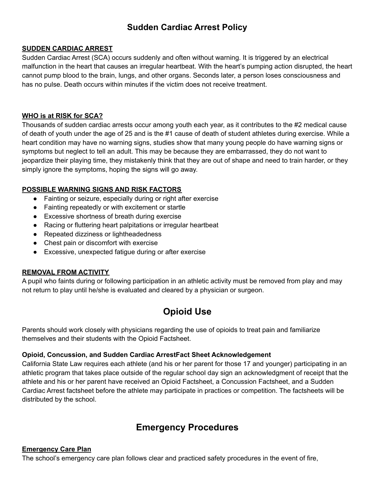## **Sudden Cardiac Arrest Policy**

#### **SUDDEN CARDIAC ARREST**

Sudden Cardiac Arrest (SCA) occurs suddenly and often without warning. It is triggered by an electrical malfunction in the heart that causes an irregular heartbeat. With the heart's pumping action disrupted, the heart cannot pump blood to the brain, lungs, and other organs. Seconds later, a person loses consciousness and has no pulse. Death occurs within minutes if the victim does not receive treatment.

#### **WHO is at RISK for SCA?**

Thousands of sudden cardiac arrests occur among youth each year, as it contributes to the #2 medical cause of death of youth under the age of 25 and is the #1 cause of death of student athletes during exercise. While a heart condition may have no warning signs, studies show that many young people do have warning signs or symptoms but neglect to tell an adult. This may be because they are embarrassed, they do not want to jeopardize their playing time, they mistakenly think that they are out of shape and need to train harder, or they simply ignore the symptoms, hoping the signs will go away.

#### **POSSIBLE WARNING SIGNS AND RISK FACTORS**

- Fainting or seizure, especially during or right after exercise
- Fainting repeatedly or with excitement or startle
- Excessive shortness of breath during exercise
- Racing or fluttering heart palpitations or irregular heartbeat
- Repeated dizziness or lightheadedness
- Chest pain or discomfort with exercise
- Excessive, unexpected fatigue during or after exercise

#### **REMOVAL FROM ACTIVITY**

A pupil who faints during or following participation in an athletic activity must be removed from play and may not return to play until he/she is evaluated and cleared by a physician or surgeon.

## **Opioid Use**

Parents should work closely with physicians regarding the use of opioids to treat pain and familiarize themselves and their students with the Opioid Factsheet.

#### **Opioid, Concussion, and Sudden Cardiac ArrestFact Sheet Acknowledgement**

California State Law requires each athlete (and his or her parent for those 17 and younger) participating in an athletic program that takes place outside of the regular school day sign an acknowledgment of receipt that the athlete and his or her parent have received an Opioid Factsheet, a Concussion Factsheet, and a Sudden Cardiac Arrest factsheet before the athlete may participate in practices or competition. The factsheets will be distributed by the school.

## **Emergency Procedures**

#### **Emergency Care Plan**

The school's emergency care plan follows clear and practiced safety procedures in the event of fire,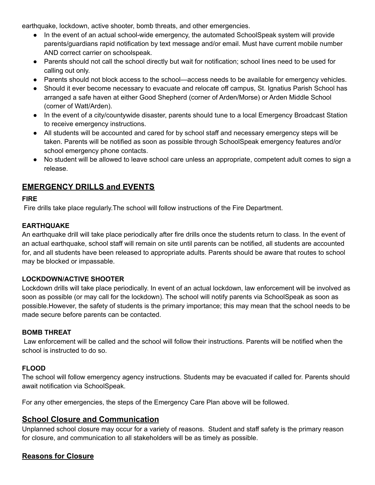earthquake, lockdown, active shooter, bomb threats, and other emergencies.

- In the event of an actual school-wide emergency, the automated SchoolSpeak system will provide parents/guardians rapid notification by text message and/or email. Must have current mobile number AND correct carrier on schoolspeak.
- Parents should not call the school directly but wait for notification; school lines need to be used for calling out only.
- Parents should not block access to the school—access needs to be available for emergency vehicles.
- Should it ever become necessary to evacuate and relocate off campus, St. Ignatius Parish School has arranged a safe haven at either Good Shepherd (corner of Arden/Morse) or Arden Middle School (corner of Watt/Arden).
- In the event of a city/countywide disaster, parents should tune to a local Emergency Broadcast Station to receive emergency instructions.
- All students will be accounted and cared for by school staff and necessary emergency steps will be taken. Parents will be notified as soon as possible through SchoolSpeak emergency features and/or school emergency phone contacts.
- No student will be allowed to leave school care unless an appropriate, competent adult comes to sign a release.

### **EMERGENCY DRILLS and EVENTS**

#### **FIRE**

Fire drills take place regularly.The school will follow instructions of the Fire Department.

#### **EARTHQUAKE**

An earthquake drill will take place periodically after fire drills once the students return to class. In the event of an actual earthquake, school staff will remain on site until parents can be notified, all students are accounted for, and all students have been released to appropriate adults. Parents should be aware that routes to school may be blocked or impassable.

#### **LOCKDOWN/ACTIVE SHOOTER**

Lockdown drills will take place periodically. In event of an actual lockdown, law enforcement will be involved as soon as possible (or may call for the lockdown). The school will notify parents via SchoolSpeak as soon as possible.However, the safety of students is the primary importance; this may mean that the school needs to be made secure before parents can be contacted.

#### **BOMB THREAT**

Law enforcement will be called and the school will follow their instructions. Parents will be notified when the school is instructed to do so.

#### **FLOOD**

The school will follow emergency agency instructions. Students may be evacuated if called for. Parents should await notification via SchoolSpeak.

For any other emergencies, the steps of the Emergency Care Plan above will be followed.

#### **School Closure and Communication**

Unplanned school closure may occur for a variety of reasons. Student and staff safety is the primary reason for closure, and communication to all stakeholders will be as timely as possible.

#### **Reasons for Closure**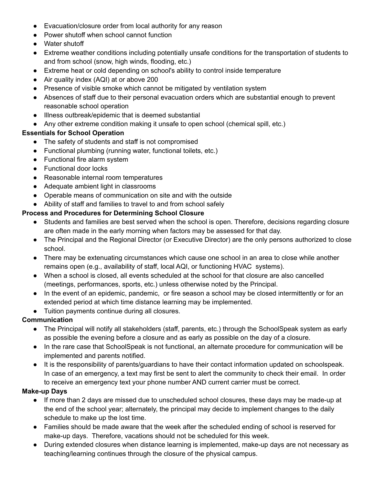- Evacuation/closure order from local authority for any reason
- Power shutoff when school cannot function
- Water shutoff
- Extreme weather conditions including potentially unsafe conditions for the transportation of students to and from school (snow, high winds, flooding, etc.)
- Extreme heat or cold depending on school's ability to control inside temperature
- Air quality index (AQI) at or above 200
- Presence of visible smoke which cannot be mitigated by ventilation system
- Absences of staff due to their personal evacuation orders which are substantial enough to prevent reasonable school operation
- Illness outbreak/epidemic that is deemed substantial
- Any other extreme condition making it unsafe to open school (chemical spill, etc.)

#### **Essentials for School Operation**

- The safety of students and staff is not compromised
- Functional plumbing (running water, functional toilets, etc.)
- Functional fire alarm system
- Functional door locks
- Reasonable internal room temperatures
- Adequate ambient light in classrooms
- Operable means of communication on site and with the outside
- Ability of staff and families to travel to and from school safely

#### **Process and Procedures for Determining School Closure**

- Students and families are best served when the school is open. Therefore, decisions regarding closure are often made in the early morning when factors may be assessed for that day.
- The Principal and the Regional Director (or Executive Director) are the only persons authorized to close school.
- There may be extenuating circumstances which cause one school in an area to close while another remains open (e.g., availability of staff, local AQI, or functioning HVAC systems).
- When a school is closed, all events scheduled at the school for that closure are also cancelled (meetings, performances, sports, etc.) unless otherwise noted by the Principal.
- In the event of an epidemic, pandemic, or fire season a school may be closed intermittently or for an extended period at which time distance learning may be implemented.
- Tuition payments continue during all closures.

#### **Communication**

- The Principal will notify all stakeholders (staff, parents, etc.) through the SchoolSpeak system as early as possible the evening before a closure and as early as possible on the day of a closure.
- In the rare case that SchoolSpeak is not functional, an alternate procedure for communication will be implemented and parents notified.
- It is the responsibility of parents/guardians to have their contact information updated on schoolspeak. In case of an emergency, a text may first be sent to alert the community to check their email. In order to receive an emergency text your phone number AND current carrier must be correct.

#### **Make-up Days**

- If more than 2 days are missed due to unscheduled school closures, these days may be made-up at the end of the school year; alternately, the principal may decide to implement changes to the daily schedule to make up the lost time.
- Families should be made aware that the week after the scheduled ending of school is reserved for make-up days. Therefore, vacations should not be scheduled for this week.
- During extended closures when distance learning is implemented, make-up days are not necessary as teaching/learning continues through the closure of the physical campus.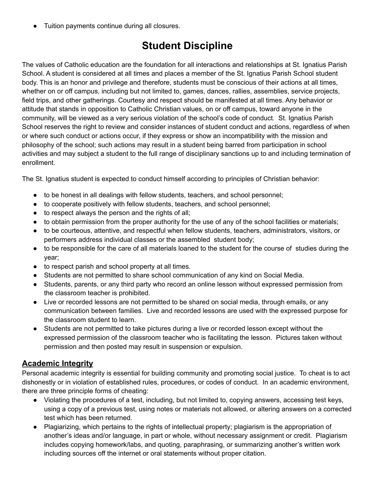Tuition payments continue during all closures.

## **Student Discipline**

The values of Catholic education are the foundation for all interactions and relationships at St. Ignatius Parish School. A student is considered at all times and places a member of the St. Ignatius Parish School student body. This is an honor and privilege and therefore, students must be conscious of their actions at all times, whether on or off campus, including but not limited to, games, dances, rallies, assemblies, service projects, field trips, and other gatherings. Courtesy and respect should be manifested at all times. Any behavior or attitude that stands in opposition to Catholic Christian values, on or off campus, toward anyone in the community, will be viewed as a very serious violation of the school's code of conduct. St. Ignatius Parish School reserves the right to review and consider instances of student conduct and actions, regardless of when or where such conduct or actions occur, if they express or show an incompatibility with the mission and philosophy of the school; such actions may result in a student being barred from participation in school activities and may subject a student to the full range of disciplinary sanctions up to and including termination of enrollment.

The St. Ignatius student is expected to conduct himself according to principles of Christian behavior:

- to be honest in all dealings with fellow students, teachers, and school personnel;
- to cooperate positively with fellow students, teachers, and school personnel;
- to respect always the person and the rights of all;
- to obtain permission from the proper authority for the use of any of the school facilities or materials;
- to be courteous, attentive, and respectful when fellow students, teachers, administrators, visitors, or performers address individual classes or the assembled student body;
- to be responsible for the care of all materials loaned to the student for the course of studies during the year;
- to respect parish and school property at all times.
- Students are not permitted to share school communication of any kind on Social Media.
- Students, parents, or any third party who record an online lesson without expressed permission from the classroom teacher is prohibited.
- Live or recorded lessons are not permitted to be shared on social media, through emails, or any communication between families. Live and recorded lessons are used with the expressed purpose for the classroom student to learn.
- Students are not permitted to take pictures during a live or recorded lesson except without the expressed permission of the classroom teacher who is facilitating the lesson. Pictures taken without permission and then posted may result in suspension or expulsion.

### **Academic Integrity**

Personal academic integrity is essential for building community and promoting social justice. To cheat is to act dishonestly or in violation of established rules, procedures, or codes of conduct. In an academic environment, there are three principle forms of cheating:

- Violating the procedures of a test, including, but not limited to, copying answers, accessing test keys, using a copy of a previous test, using notes or materials not allowed, or altering answers on a corrected test which has been returned.
- Plagiarizing, which pertains to the rights of intellectual property; plagiarism is the appropriation of another's ideas and/or language, in part or whole, without necessary assignment or credit. Plagiarism includes copying homework/labs, and quoting, paraphrasing, or summarizing another's written work including sources off the internet or oral statements without proper citation.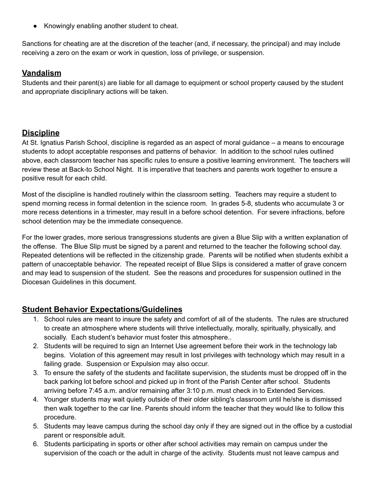● Knowingly enabling another student to cheat.

Sanctions for cheating are at the discretion of the teacher (and, if necessary, the principal) and may include receiving a zero on the exam or work in question, loss of privilege, or suspension.

#### **Vandalism**

Students and their parent(s) are liable for all damage to equipment or school property caused by the student and appropriate disciplinary actions will be taken.

### **Discipline**

At St. Ignatius Parish School, discipline is regarded as an aspect of moral guidance – a means to encourage students to adopt acceptable responses and patterns of behavior. In addition to the school rules outlined above, each classroom teacher has specific rules to ensure a positive learning environment. The teachers will review these at Back-to School Night. It is imperative that teachers and parents work together to ensure a positive result for each child.

Most of the discipline is handled routinely within the classroom setting. Teachers may require a student to spend morning recess in formal detention in the science room. In grades 5-8, students who accumulate 3 or more recess detentions in a trimester, may result in a before school detention. For severe infractions, before school detention may be the immediate consequence.

For the lower grades, more serious transgressions students are given a Blue Slip with a written explanation of the offense. The Blue Slip must be signed by a parent and returned to the teacher the following school day. Repeated detentions will be reflected in the citizenship grade. Parents will be notified when students exhibit a pattern of unacceptable behavior. The repeated receipt of Blue Slips is considered a matter of grave concern and may lead to suspension of the student. See the reasons and procedures for suspension outlined in the Diocesan Guidelines in this document.

### **Student Behavior Expectations/Guidelines**

- 1. School rules are meant to insure the safety and comfort of all of the students. The rules are structured to create an atmosphere where students will thrive intellectually, morally, spiritually, physically, and socially. Each student's behavior must foster this atmosphere..
- 2. Students will be required to sign an Internet Use agreement before their work in the technology lab begins. Violation of this agreement may result in lost privileges with technology which may result in a failing grade. Suspension or Expulsion may also occur.
- 3. To ensure the safety of the students and facilitate supervision, the students must be dropped off in the back parking lot before school and picked up in front of the Parish Center after school. Students arriving before 7:45 a.m. and/or remaining after 3:10 p.m. must check in to Extended Services.
- 4. Younger students may wait quietly outside of their older sibling's classroom until he/she is dismissed then walk together to the car line. Parents should inform the teacher that they would like to follow this procedure.
- 5. Students may leave campus during the school day only if they are signed out in the office by a custodial parent or responsible adult.
- 6. Students participating in sports or other after school activities may remain on campus under the supervision of the coach or the adult in charge of the activity. Students must not leave campus and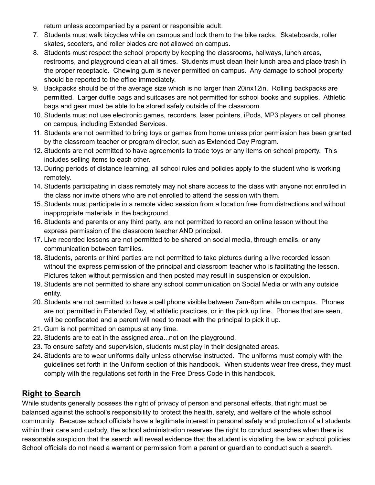return unless accompanied by a parent or responsible adult.

- 7. Students must walk bicycles while on campus and lock them to the bike racks. Skateboards, roller skates, scooters, and roller blades are not allowed on campus.
- 8. Students must respect the school property by keeping the classrooms, hallways, lunch areas, restrooms, and playground clean at all times. Students must clean their lunch area and place trash in the proper receptacle. Chewing gum is never permitted on campus. Any damage to school property should be reported to the office immediately.
- 9. Backpacks should be of the average size which is no larger than 20inx12in. Rolling backpacks are permitted. Larger duffle bags and suitcases are not permitted for school books and supplies. Athletic bags and gear must be able to be stored safely outside of the classroom.
- 10. Students must not use electronic games, recorders, laser pointers, iPods, MP3 players or cell phones on campus, including Extended Services.
- 11. Students are not permitted to bring toys or games from home unless prior permission has been granted by the classroom teacher or program director, such as Extended Day Program.
- 12. Students are not permitted to have agreements to trade toys or any items on school property. This includes selling items to each other.
- 13. During periods of distance learning, all school rules and policies apply to the student who is working remotely.
- 14. Students participating in class remotely may not share access to the class with anyone not enrolled in the class nor invite others who are not enrolled to attend the session with them.
- 15. Students must participate in a remote video session from a location free from distractions and without inappropriate materials in the background.
- 16. Students and parents or any third party, are not permitted to record an online lesson without the express permission of the classroom teacher AND principal.
- 17. Live recorded lessons are not permitted to be shared on social media, through emails, or any communication between families.
- 18. Students, parents or third parties are not permitted to take pictures during a live recorded lesson without the express permission of the principal and classroom teacher who is facilitating the lesson. Pictures taken without permission and then posted may result in suspension or expulsion.
- 19. Students are not permitted to share any school communication on Social Media or with any outside entity.
- 20. Students are not permitted to have a cell phone visible between 7am-6pm while on campus. Phones are not permitted in Extended Day, at athletic practices, or in the pick up line. Phones that are seen, will be confiscated and a parent will need to meet with the principal to pick it up.
- 21. Gum is not permitted on campus at any time.
- 22. Students are to eat in the assigned area...not on the playground.
- 23. To ensure safety and supervision, students must play in their designated areas.
- 24. Students are to wear uniforms daily unless otherwise instructed. The uniforms must comply with the guidelines set forth in the Uniform section of this handbook. When students wear free dress, they must comply with the regulations set forth in the Free Dress Code in this handbook.

### **Right to Search**

While students generally possess the right of privacy of person and personal effects, that right must be balanced against the school's responsibility to protect the health, safety, and welfare of the whole school community. Because school officials have a legitimate interest in personal safety and protection of all students within their care and custody, the school administration reserves the right to conduct searches when there is reasonable suspicion that the search will reveal evidence that the student is violating the law or school policies. School officials do not need a warrant or permission from a parent or guardian to conduct such a search.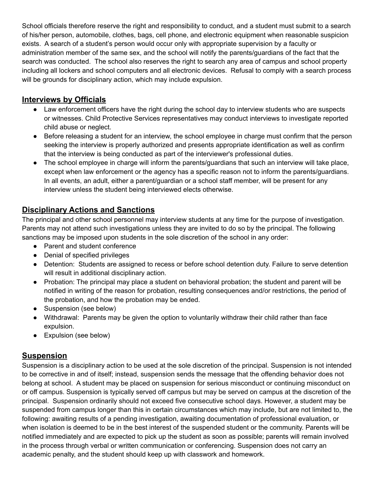School officials therefore reserve the right and responsibility to conduct, and a student must submit to a search of his/her person, automobile, clothes, bags, cell phone, and electronic equipment when reasonable suspicion exists. A search of a student's person would occur only with appropriate supervision by a faculty or administration member of the same sex, and the school will notify the parents/guardians of the fact that the search was conducted. The school also reserves the right to search any area of campus and school property including all lockers and school computers and all electronic devices. Refusal to comply with a search process will be grounds for disciplinary action, which may include expulsion.

### **Interviews by Officials**

- Law enforcement officers have the right during the school day to interview students who are suspects or witnesses. Child Protective Services representatives may conduct interviews to investigate reported child abuse or neglect.
- Before releasing a student for an interview, the school employee in charge must confirm that the person seeking the interview is properly authorized and presents appropriate identification as well as confirm that the interview is being conducted as part of the interviewer's professional duties.
- The school employee in charge will inform the parents/guardians that such an interview will take place, except when law enforcement or the agency has a specific reason not to inform the parents/guardians. In all events, an adult, either a parent/guardian or a school staff member, will be present for any interview unless the student being interviewed elects otherwise.

### **Disciplinary Actions and Sanctions**

The principal and other school personnel may interview students at any time for the purpose of investigation. Parents may not attend such investigations unless they are invited to do so by the principal. The following sanctions may be imposed upon students in the sole discretion of the school in any order:

- Parent and student conference
- Denial of specified privileges
- Detention: Students are assigned to recess or before school detention duty. Failure to serve detention will result in additional disciplinary action.
- Probation: The principal may place a student on behavioral probation; the student and parent will be notified in writing of the reason for probation, resulting consequences and/or restrictions, the period of the probation, and how the probation may be ended.
- Suspension (see below)
- Withdrawal: Parents may be given the option to voluntarily withdraw their child rather than face expulsion.
- Expulsion (see below)

### **Suspension**

Suspension is a disciplinary action to be used at the sole discretion of the principal. Suspension is not intended to be corrective in and of itself; instead, suspension sends the message that the offending behavior does not belong at school. A student may be placed on suspension for serious misconduct or continuing misconduct on or off campus. Suspension is typically served off campus but may be served on campus at the discretion of the principal. Suspension ordinarily should not exceed five consecutive school days. However, a student may be suspended from campus longer than this in certain circumstances which may include, but are not limited to, the following: awaiting results of a pending investigation, awaiting documentation of professional evaluation, or when isolation is deemed to be in the best interest of the suspended student or the community. Parents will be notified immediately and are expected to pick up the student as soon as possible; parents will remain involved in the process through verbal or written communication or conferencing. Suspension does not carry an academic penalty, and the student should keep up with classwork and homework.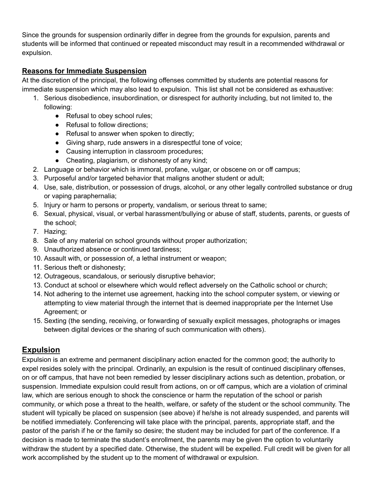Since the grounds for suspension ordinarily differ in degree from the grounds for expulsion, parents and students will be informed that continued or repeated misconduct may result in a recommended withdrawal or expulsion.

#### **Reasons for Immediate Suspension**

At the discretion of the principal, the following offenses committed by students are potential reasons for immediate suspension which may also lead to expulsion. This list shall not be considered as exhaustive:

- 1. Serious disobedience, insubordination, or disrespect for authority including, but not limited to, the following:
	- Refusal to obey school rules;
	- Refusal to follow directions;
	- Refusal to answer when spoken to directly;
	- Giving sharp, rude answers in a disrespectful tone of voice;
	- Causing interruption in classroom procedures;
	- Cheating, plagiarism, or dishonesty of any kind;
- 2. Language or behavior which is immoral, profane, vulgar, or obscene on or off campus;
- 3. Purposeful and/or targeted behavior that maligns another student or adult;
- 4. Use, sale, distribution, or possession of drugs, alcohol, or any other legally controlled substance or drug or vaping paraphernalia;
- 5. Injury or harm to persons or property, vandalism, or serious threat to same;
- 6. Sexual, physical, visual, or verbal harassment/bullying or abuse of staff, students, parents, or guests of the school;
- 7. Hazing;
- 8. Sale of any material on school grounds without proper authorization;
- 9. Unauthorized absence or continued tardiness;
- 10. Assault with, or possession of, a lethal instrument or weapon;
- 11. Serious theft or dishonesty;
- 12. Outrageous, scandalous, or seriously disruptive behavior;
- 13. Conduct at school or elsewhere which would reflect adversely on the Catholic school or church;
- 14. Not adhering to the internet use agreement, hacking into the school computer system, or viewing or attempting to view material through the internet that is deemed inappropriate per the Internet Use Agreement; or
- 15. Sexting (the sending, receiving, or forwarding of sexually explicit messages, photographs or images between digital devices or the sharing of such communication with others).

### **Expulsion**

Expulsion is an extreme and permanent disciplinary action enacted for the common good; the authority to expel resides solely with the principal. Ordinarily, an expulsion is the result of continued disciplinary offenses, on or off campus, that have not been remedied by lesser disciplinary actions such as detention, probation, or suspension. Immediate expulsion could result from actions, on or off campus, which are a violation of criminal law, which are serious enough to shock the conscience or harm the reputation of the school or parish community, or which pose a threat to the health, welfare, or safety of the student or the school community. The student will typically be placed on suspension (see above) if he/she is not already suspended, and parents will be notified immediately. Conferencing will take place with the principal, parents, appropriate staff, and the pastor of the parish if he or the family so desire; the student may be included for part of the conference. If a decision is made to terminate the student's enrollment, the parents may be given the option to voluntarily withdraw the student by a specified date. Otherwise, the student will be expelled. Full credit will be given for all work accomplished by the student up to the moment of withdrawal or expulsion.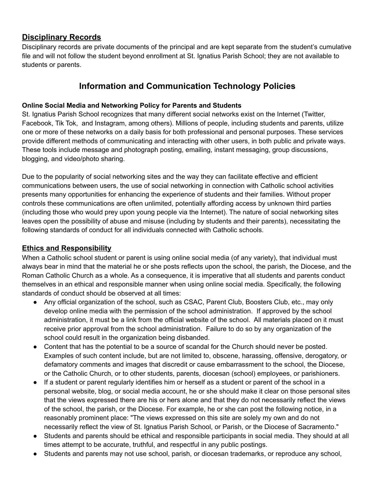### **Disciplinary Records**

Disciplinary records are private documents of the principal and are kept separate from the student's cumulative file and will not follow the student beyond enrollment at St. Ignatius Parish School; they are not available to students or parents.

### **Information and Communication Technology Policies**

#### **Online Social Media and Networking Policy for Parents and Students**

St. Ignatius Parish School recognizes that many different social networks exist on the Internet (Twitter, Facebook, Tik Tok, and Instagram, among others). Millions of people, including students and parents, utilize one or more of these networks on a daily basis for both professional and personal purposes. These services provide different methods of communicating and interacting with other users, in both public and private ways. These tools include message and photograph posting, emailing, instant messaging, group discussions, blogging, and video/photo sharing.

Due to the popularity of social networking sites and the way they can facilitate effective and efficient communications between users, the use of social networking in connection with Catholic school activities presents many opportunities for enhancing the experience of students and their families. Without proper controls these communications are often unlimited, potentially affording access by unknown third parties (including those who would prey upon young people via the Internet). The nature of social networking sites leaves open the possibility of abuse and misuse (including by students and their parents), necessitating the following standards of conduct for all individuals connected with Catholic schools.

#### **Ethics and Responsibility**

When a Catholic school student or parent is using online social media (of any variety), that individual must always bear in mind that the material he or she posts reflects upon the school, the parish, the Diocese, and the Roman Catholic Church as a whole. As a consequence, it is imperative that all students and parents conduct themselves in an ethical and responsible manner when using online social media. Specifically, the following standards of conduct should be observed at all times:

- Any official organization of the school, such as CSAC, Parent Club, Boosters Club, etc., may only develop online media with the permission of the school administration. If approved by the school administration, it must be a link from the official website of the school. All materials placed on it must receive prior approval from the school administration. Failure to do so by any organization of the school could result in the organization being disbanded.
- Content that has the potential to be a source of scandal for the Church should never be posted. Examples of such content include, but are not limited to, obscene, harassing, offensive, derogatory, or defamatory comments and images that discredit or cause embarrassment to the school, the Diocese, or the Catholic Church, or to other students, parents, diocesan (school) employees, or parishioners.
- If a student or parent regularly identifies him or herself as a student or parent of the school in a personal website, blog, or social media account, he or she should make it clear on those personal sites that the views expressed there are his or hers alone and that they do not necessarily reflect the views of the school, the parish, or the Diocese. For example, he or she can post the following notice, in a reasonably prominent place: "The views expressed on this site are solely my own and do not necessarily reflect the view of St. Ignatius Parish School, or Parish, or the Diocese of Sacramento."
- Students and parents should be ethical and responsible participants in social media. They should at all times attempt to be accurate, truthful, and respectful in any public postings.
- Students and parents may not use school, parish, or diocesan trademarks, or reproduce any school,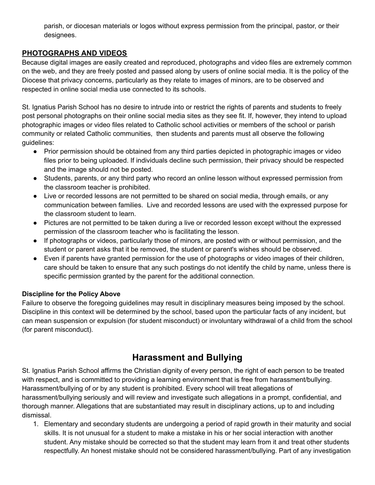parish, or diocesan materials or logos without express permission from the principal, pastor, or their designees.

#### **PHOTOGRAPHS AND VIDEOS**

Because digital images are easily created and reproduced, photographs and video files are extremely common on the web, and they are freely posted and passed along by users of online social media. It is the policy of the Diocese that privacy concerns, particularly as they relate to images of minors, are to be observed and respected in online social media use connected to its schools.

St. Ignatius Parish School has no desire to intrude into or restrict the rights of parents and students to freely post personal photographs on their online social media sites as they see fit. If, however, they intend to upload photographic images or video files related to Catholic school activities or members of the school or parish community or related Catholic communities, then students and parents must all observe the following guidelines:

- Prior permission should be obtained from any third parties depicted in photographic images or video files prior to being uploaded. If individuals decline such permission, their privacy should be respected and the image should not be posted.
- Students, parents, or any third party who record an online lesson without expressed permission from the classroom teacher is prohibited.
- Live or recorded lessons are not permitted to be shared on social media, through emails, or any communication between families. Live and recorded lessons are used with the expressed purpose for the classroom student to learn.
- Pictures are not permitted to be taken during a live or recorded lesson except without the expressed permission of the classroom teacher who is facilitating the lesson.
- If photographs or videos, particularly those of minors, are posted with or without permission, and the student or parent asks that it be removed, the student or parent's wishes should be observed.
- Even if parents have granted permission for the use of photographs or video images of their children, care should be taken to ensure that any such postings do not identify the child by name, unless there is specific permission granted by the parent for the additional connection.

#### **Discipline for the Policy Above**

Failure to observe the foregoing guidelines may result in disciplinary measures being imposed by the school. Discipline in this context will be determined by the school, based upon the particular facts of any incident, but can mean suspension or expulsion (for student misconduct) or involuntary withdrawal of a child from the school (for parent misconduct).

## **Harassment and Bullying**

St. Ignatius Parish School affirms the Christian dignity of every person, the right of each person to be treated with respect, and is committed to providing a learning environment that is free from harassment/bullying. Harassment/bullying of or by any student is prohibited. Every school will treat allegations of harassment/bullying seriously and will review and investigate such allegations in a prompt, confidential, and thorough manner. Allegations that are substantiated may result in disciplinary actions, up to and including dismissal.

1. Elementary and secondary students are undergoing a period of rapid growth in their maturity and social skills. It is not unusual for a student to make a mistake in his or her social interaction with another student. Any mistake should be corrected so that the student may learn from it and treat other students respectfully. An honest mistake should not be considered harassment/bullying. Part of any investigation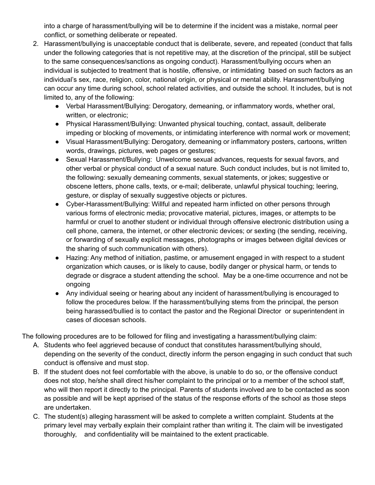into a charge of harassment/bullying will be to determine if the incident was a mistake, normal peer conflict, or something deliberate or repeated.

- 2. Harassment/bullying is unacceptable conduct that is deliberate, severe, and repeated (conduct that falls under the following categories that is not repetitive may, at the discretion of the principal, still be subject to the same consequences/sanctions as ongoing conduct). Harassment/bullying occurs when an individual is subjected to treatment that is hostile, offensive, or intimidating based on such factors as an individual's sex, race, religion, color, national origin, or physical or mental ability. Harassment/bullying can occur any time during school, school related activities, and outside the school. It includes, but is not limited to, any of the following:
	- Verbal Harassment/Bullying: Derogatory, demeaning, or inflammatory words, whether oral, written, or electronic;
	- Physical Harassment/Bullying: Unwanted physical touching, contact, assault, deliberate impeding or blocking of movements, or intimidating interference with normal work or movement;
	- Visual Harassment/Bullying: Derogatory, demeaning or inflammatory posters, cartoons, written words, drawings, pictures, web pages or gestures;
	- Sexual Harassment/Bullying: Unwelcome sexual advances, requests for sexual favors, and other verbal or physical conduct of a sexual nature. Such conduct includes, but is not limited to, the following: sexually demeaning comments, sexual statements, or jokes; suggestive or obscene letters, phone calls, texts, or e-mail; deliberate, unlawful physical touching; leering, gesture, or display of sexually suggestive objects or pictures.
	- Cyber-Harassment/Bullying: Willful and repeated harm inflicted on other persons through various forms of electronic media; provocative material, pictures, images, or attempts to be harmful or cruel to another student or individual through offensive electronic distribution using a cell phone, camera, the internet, or other electronic devices; or sexting (the sending, receiving, or forwarding of sexually explicit messages, photographs or images between digital devices or the sharing of such communication with others).
	- Hazing: Any method of initiation, pastime, or amusement engaged in with respect to a student organization which causes, or is likely to cause, bodily danger or physical harm, or tends to degrade or disgrace a student attending the school. May be a one-time occurrence and not be ongoing
	- Any individual seeing or hearing about any incident of harassment/bullying is encouraged to follow the procedures below. If the harassment/bullying stems from the principal, the person being harassed/bullied is to contact the pastor and the Regional Director or superintendent in cases of diocesan schools.

The following procedures are to be followed for filing and investigating a harassment/bullying claim:

- A. Students who feel aggrieved because of conduct that constitutes harassment/bullying should, depending on the severity of the conduct, directly inform the person engaging in such conduct that such conduct is offensive and must stop.
- B. If the student does not feel comfortable with the above, is unable to do so, or the offensive conduct does not stop, he/she shall direct his/her complaint to the principal or to a member of the school staff, who will then report it directly to the principal. Parents of students involved are to be contacted as soon as possible and will be kept apprised of the status of the response efforts of the school as those steps are undertaken.
- C. The student(s) alleging harassment will be asked to complete a written complaint. Students at the primary level may verbally explain their complaint rather than writing it. The claim will be investigated thoroughly, and confidentiality will be maintained to the extent practicable.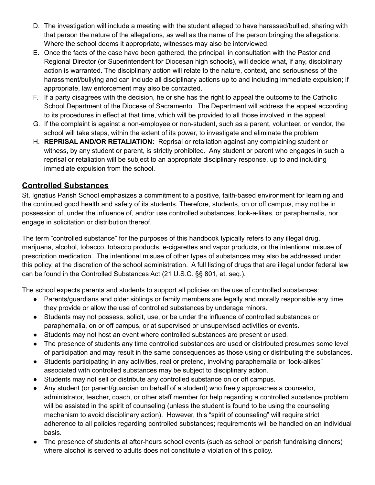- D. The investigation will include a meeting with the student alleged to have harassed/bullied, sharing with that person the nature of the allegations, as well as the name of the person bringing the allegations. Where the school deems it appropriate, witnesses may also be interviewed.
- E. Once the facts of the case have been gathered, the principal, in consultation with the Pastor and Regional Director (or Superintendent for Diocesan high schools), will decide what, if any, disciplinary action is warranted. The disciplinary action will relate to the nature, context, and seriousness of the harassment/bullying and can include all disciplinary actions up to and including immediate expulsion; if appropriate, law enforcement may also be contacted.
- F. If a party disagrees with the decision, he or she has the right to appeal the outcome to the Catholic School Department of the Diocese of Sacramento. The Department will address the appeal according to its procedures in effect at that time, which will be provided to all those involved in the appeal.
- G. If the complaint is against a non-employee or non-student, such as a parent, volunteer, or vendor, the school will take steps, within the extent of its power, to investigate and eliminate the problem
- H. **REPRISAL AND/OR RETALIATION**: Reprisal or retaliation against any complaining student or witness, by any student or parent, is strictly prohibited. Any student or parent who engages in such a reprisal or retaliation will be subject to an appropriate disciplinary response, up to and including immediate expulsion from the school.

### **Controlled Substances**

St. Ignatius Parish School emphasizes a commitment to a positive, faith-based environment for learning and the continued good health and safety of its students. Therefore, students, on or off campus, may not be in possession of, under the influence of, and/or use controlled substances, look-a-likes, or paraphernalia, nor engage in solicitation or distribution thereof.

The term "controlled substance" for the purposes of this handbook typically refers to any illegal drug, marijuana, alcohol, tobacco, tobacco products, e-cigarettes and vapor products, or the intentional misuse of prescription medication. The intentional misuse of other types of substances may also be addressed under this policy, at the discretion of the school administration. A full listing of drugs that are illegal under federal law can be found in the Controlled Substances Act (21 U.S.C. §§ 801, et. seq.).

The school expects parents and students to support all policies on the use of controlled substances:

- Parents/guardians and older siblings or family members are legally and morally responsible any time they provide or allow the use of controlled substances by underage minors.
- Students may not possess, solicit, use, or be under the influence of controlled substances or paraphernalia, on or off campus, or at supervised or unsupervised activities or events.
- Students may not host an event where controlled substances are present or used.
- The presence of students any time controlled substances are used or distributed presumes some level of participation and may result in the same consequences as those using or distributing the substances.
- Students participating in any activities, real or pretend, involving paraphernalia or "look-alikes" associated with controlled substances may be subject to disciplinary action.
- Students may not sell or distribute any controlled substance on or off campus.
- Any student (or parent/guardian on behalf of a student) who freely approaches a counselor, administrator, teacher, coach, or other staff member for help regarding a controlled substance problem will be assisted in the spirit of counseling (unless the student is found to be using the counseling mechanism to avoid disciplinary action). However, this "spirit of counseling" will require strict adherence to all policies regarding controlled substances; requirements will be handled on an individual basis.
- The presence of students at after-hours school events (such as school or parish fundraising dinners) where alcohol is served to adults does not constitute a violation of this policy.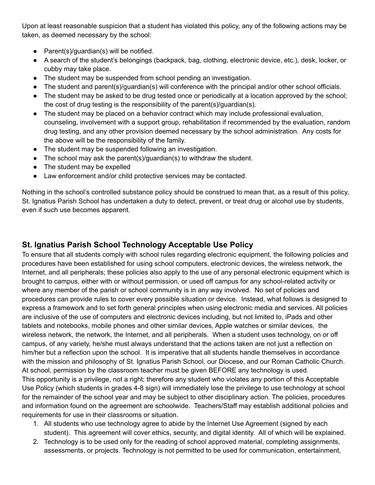Upon at least reasonable suspicion that a student has violated this policy, any of the following actions may be taken, as deemed necessary by the school:

- Parent(s)/quardian(s) will be notified.
- A search of the student's belongings (backpack, bag, clothing, electronic device, etc.), desk, locker, or cubby may take place.
- The student may be suspended from school pending an investigation.
- The student and parent(s)/guardian(s) will conference with the principal and/or other school officials.
- The student may be asked to be drug tested once or periodically at a location approved by the school; the cost of drug testing is the responsibility of the parent(s)/guardian(s).
- The student may be placed on a behavior contract which may include professional evaluation, counseling, involvement with a support group, rehabilitation if recommended by the evaluation, random drug testing, and any other provision deemed necessary by the school administration. Any costs for the above will be the responsibility of the family.
- The student may be suspended following an investigation.
- The school may ask the parent(s)/guardian(s) to withdraw the student.
- The student may be expelled
- Law enforcement and/or child protective services may be contacted.

Nothing in the school's controlled substance policy should be construed to mean that, as a result of this policy, St. Ignatius Parish School has undertaken a duty to detect, prevent, or treat drug or alcohol use by students, even if such use becomes apparent.

### **St. Ignatius Parish School Technology Acceptable Use Policy**

To ensure that all students comply with school rules regarding electronic equipment, the following policies and procedures have been established for using school computers, electronic devices, the wireless network, the Internet, and all peripherals; these policies also apply to the use of any personal electronic equipment which is brought to campus, either with or without permission, or used off campus for any school-related activity or where any member of the parish or school community is in any way involved. No set of policies and procedures can provide rules to cover every possible situation or device. Instead, what follows is designed to express a framework and to set forth general principles when using electronic media and services. All policies are inclusive of the use of computers and electronic devices including, but not limited to, iPads and other tablets and notebooks, mobile phones and other similar devices, Apple watches or similar devices, the wireless network, the network, the Internet, and all peripherals. When a student uses technology, on or off campus, of any variety, he/she must always understand that the actions taken are not just a reflection on him/her but a reflection upon the school. It is imperative that all students handle themselves in accordance with the mission and philosophy of St. Ignatius Parish School, our Diocese, and our Roman Catholic Church. At school, permission by the classroom teacher must be given BEFORE any technology is used. This opportunity is a privilege, not a right; therefore any student who violates any portion of this Acceptable Use Policy (which students in grades 4-8 sign) will immediately lose the privilege to use technology at school for the remainder of the school year and may be subject to other disciplinary action. The policies, procedures and information found on the agreement are schoolwide. Teachers/Staff may establish additional policies and requirements for use in their classrooms or situation.

- 1. All students who use technology agree to abide by the Internet Use Agreement (signed by each student). This agreement will cover ethics, security, and digital identity. All of which will be explained.
- 2. Technology is to be used only for the reading of school approved material, completing assignments, assessments, or projects. Technology is not permitted to be used for communication, entertainment,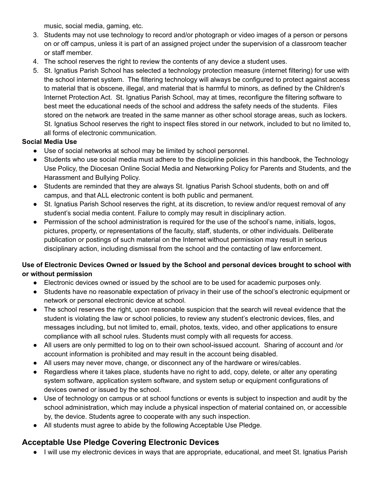music, social media, gaming, etc.

- 3. Students may not use technology to record and/or photograph or video images of a person or persons on or off campus, unless it is part of an assigned project under the supervision of a classroom teacher or staff member.
- 4. The school reserves the right to review the contents of any device a student uses.
- 5. St. Ignatius Parish School has selected a technology protection measure (internet filtering) for use with the school internet system. The filtering technology will always be configured to protect against access to material that is obscene, illegal, and material that is harmful to minors, as defined by the Children's Internet Protection Act. St. Ignatius Parish School, may at times, reconfigure the filtering software to best meet the educational needs of the school and address the safety needs of the students. Files stored on the network are treated in the same manner as other school storage areas, such as lockers. St. Ignatius School reserves the right to inspect files stored in our network, included to but no limited to, all forms of electronic communication.

### **Social Media Use**

- Use of social networks at school may be limited by school personnel.
- Students who use social media must adhere to the discipline policies in this handbook, the Technology Use Policy, the Diocesan Online Social Media and Networking Policy for Parents and Students, and the Harassment and Bullying Policy.
- Students are reminded that they are always St. Ignatius Parish School students, both on and off campus, and that ALL electronic content is both public and permanent.
- St. Ignatius Parish School reserves the right, at its discretion, to review and/or request removal of any student's social media content. Failure to comply may result in disciplinary action.
- Permission of the school administration is required for the use of the school's name, initials, logos, pictures, property, or representations of the faculty, staff, students, or other individuals. Deliberate publication or postings of such material on the Internet without permission may result in serious disciplinary action, including dismissal from the school and the contacting of law enforcement.

#### **Use of Electronic Devices Owned or Issued by the School and personal devices brought to school with or without permission**

- Electronic devices owned or issued by the school are to be used for academic purposes only.
- Students have no reasonable expectation of privacy in their use of the school's electronic equipment or network or personal electronic device at school.
- The school reserves the right, upon reasonable suspicion that the search will reveal evidence that the student is violating the law or school policies, to review any student's electronic devices, files, and messages including, but not limited to, email, photos, texts, video, and other applications to ensure compliance with all school rules. Students must comply with all requests for access.
- All users are only permitted to log on to their own school-issued account. Sharing of account and /or account information is prohibited and may result in the account being disabled.
- All users may never move, change, or disconnect any of the hardware or wires/cables.
- Regardless where it takes place, students have no right to add, copy, delete, or alter any operating system software, application system software, and system setup or equipment configurations of devices owned or issued by the school.
- Use of technology on campus or at school functions or events is subject to inspection and audit by the school administration, which may include a physical inspection of material contained on, or accessible by, the device. Students agree to cooperate with any such inspection.
- All students must agree to abide by the following Acceptable Use Pledge.

### **Acceptable Use Pledge Covering Electronic Devices**

● I will use my electronic devices in ways that are appropriate, educational, and meet St. Ignatius Parish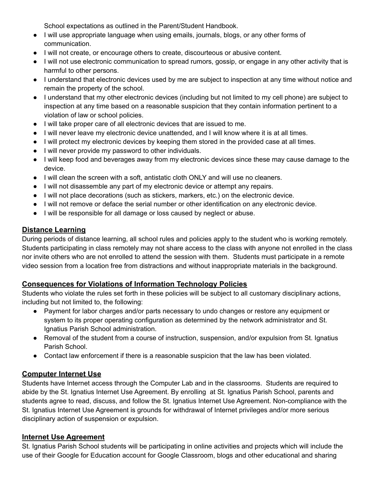School expectations as outlined in the Parent/Student Handbook.

- I will use appropriate language when using emails, journals, blogs, or any other forms of communication.
- I will not create, or encourage others to create, discourteous or abusive content.
- I will not use electronic communication to spread rumors, gossip, or engage in any other activity that is harmful to other persons.
- I understand that electronic devices used by me are subject to inspection at any time without notice and remain the property of the school.
- I understand that my other electronic devices (including but not limited to my cell phone) are subject to inspection at any time based on a reasonable suspicion that they contain information pertinent to a violation of law or school policies.
- I will take proper care of all electronic devices that are issued to me.
- I will never leave my electronic device unattended, and I will know where it is at all times.
- I will protect my electronic devices by keeping them stored in the provided case at all times.
- I will never provide my password to other individuals.
- I will keep food and beverages away from my electronic devices since these may cause damage to the device.
- I will clean the screen with a soft, antistatic cloth ONLY and will use no cleaners.
- I will not disassemble any part of my electronic device or attempt any repairs.
- I will not place decorations (such as stickers, markers, etc.) on the electronic device.
- I will not remove or deface the serial number or other identification on any electronic device.
- I will be responsible for all damage or loss caused by neglect or abuse.

#### **Distance Learning**

During periods of distance learning, all school rules and policies apply to the student who is working remotely. Students participating in class remotely may not share access to the class with anyone not enrolled in the class nor invite others who are not enrolled to attend the session with them. Students must participate in a remote video session from a location free from distractions and without inappropriate materials in the background.

#### **Consequences for Violations of Information Technology Policies**

Students who violate the rules set forth in these policies will be subject to all customary disciplinary actions, including but not limited to, the following:

- Payment for labor charges and/or parts necessary to undo changes or restore any equipment or system to its proper operating configuration as determined by the network administrator and St. Ignatius Parish School administration.
- Removal of the student from a course of instruction, suspension, and/or expulsion from St. Ignatius Parish School.
- Contact law enforcement if there is a reasonable suspicion that the law has been violated.

#### **Computer Internet Use**

Students have Internet access through the Computer Lab and in the classrooms. Students are required to abide by the St. Ignatius Internet Use Agreement. By enrolling at St. Ignatius Parish School, parents and students agree to read, discuss, and follow the St. Ignatius Internet Use Agreement. Non-compliance with the St. Ignatius Internet Use Agreement is grounds for withdrawal of Internet privileges and/or more serious disciplinary action of suspension or expulsion.

#### **Internet Use Agreement**

St. Ignatius Parish School students will be participating in online activities and projects which will include the use of their Google for Education account for Google Classroom, blogs and other educational and sharing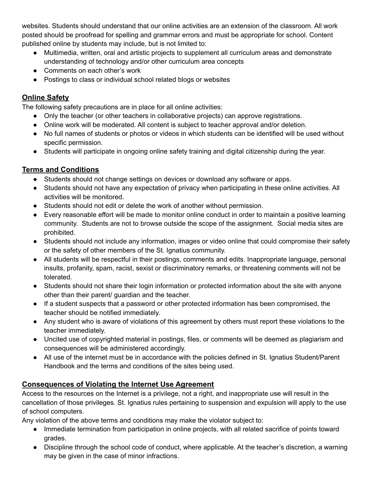websites. Students should understand that our online activities are an extension of the classroom. All work posted should be proofread for spelling and grammar errors and must be appropriate for school. Content published online by students may include, but is not limited to:

- Multimedia, written, oral and artistic projects to supplement all curriculum areas and demonstrate understanding of technology and/or other curriculum area concepts
- Comments on each other's work
- Postings to class or individual school related blogs or websites

### **Online Safety**

The following safety precautions are in place for all online activities:

- Only the teacher (or other teachers in collaborative projects) can approve registrations.
- Online work will be moderated. All content is subject to teacher approval and/or deletion.
- No full names of students or photos or videos in which students can be identified will be used without specific permission.
- Students will participate in ongoing online safety training and digital citizenship during the year.

### **Terms and Conditions**

- Students should not change settings on devices or download any software or apps.
- Students should not have any expectation of privacy when participating in these online activities. All activities will be monitored.
- Students should not edit or delete the work of another without permission.
- Every reasonable effort will be made to monitor online conduct in order to maintain a positive learning community. Students are not to browse outside the scope of the assignment. Social media sites are prohibited.
- Students should not include any information, images or video online that could compromise their safety or the safety of other members of the St. Ignatius community.
- All students will be respectful in their postings, comments and edits. Inappropriate language, personal insults, profanity, spam, racist, sexist or discriminatory remarks, or threatening comments will not be tolerated.
- Students should not share their login information or protected information about the site with anyone other than their parent/ guardian and the teacher.
- If a student suspects that a password or other protected information has been compromised, the teacher should be notified immediately.
- Any student who is aware of violations of this agreement by others must report these violations to the teacher immediately.
- Uncited use of copyrighted material in postings, files, or comments will be deemed as plagiarism and consequences will be administered accordingly.
- All use of the internet must be in accordance with the policies defined in St. Ignatius Student/Parent Handbook and the terms and conditions of the sites being used.

### **Consequences of Violating the Internet Use Agreement**

Access to the resources on the Internet is a privilege, not a right, and inappropriate use will result in the cancellation of those privileges. St. Ignatius rules pertaining to suspension and expulsion will apply to the use of school computers.

Any violation of the above terms and conditions may make the violator subject to:

- Immediate termination from participation in online projects, with all related sacrifice of points toward grades.
- Discipline through the school code of conduct, where applicable. At the teacher's discretion, a warning may be given in the case of minor infractions.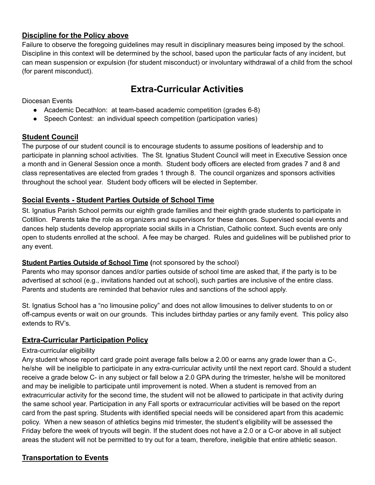#### **Discipline for the Policy above**

Failure to observe the foregoing guidelines may result in disciplinary measures being imposed by the school. Discipline in this context will be determined by the school, based upon the particular facts of any incident, but can mean suspension or expulsion (for student misconduct) or involuntary withdrawal of a child from the school (for parent misconduct).

## **Extra-Curricular Activities**

Diocesan Events

- Academic Decathlon: at team-based academic competition (grades 6-8)
- Speech Contest: an individual speech competition (participation varies)

#### **Student Council**

The purpose of our student council is to encourage students to assume positions of leadership and to participate in planning school activities. The St. Ignatius Student Council will meet in Executive Session once a month and in General Session once a month. Student body officers are elected from grades 7 and 8 and class representatives are elected from grades 1 through 8. The council organizes and sponsors activities throughout the school year. Student body officers will be elected in September.

#### **Social Events - Student Parties Outside of School Time**

St. Ignatius Parish School permits our eighth grade families and their eighth grade students to participate in Cotillion. Parents take the role as organizers and supervisors for these dances. Supervised social events and dances help students develop appropriate social skills in a Christian, Catholic context. Such events are only open to students enrolled at the school. A fee may be charged. Rules and guidelines will be published prior to any event.

#### **Student Parties Outside of School Time (**not sponsored by the school)

Parents who may sponsor dances and/or parties outside of school time are asked that, if the party is to be advertised at school (e.g., invitations handed out at school), such parties are inclusive of the entire class. Parents and students are reminded that behavior rules and sanctions of the school apply.

St. Ignatius School has a "no limousine policy" and does not allow limousines to deliver students to on or off-campus events or wait on our grounds. This includes birthday parties or any family event. This policy also extends to RV's.

#### **Extra-Curricular Participation Policy**

#### Extra-curricular eligibility

Any student whose report card grade point average falls below a 2.00 or earns any grade lower than a C-, he/she will be ineligible to participate in any extra-curricular activity until the next report card. Should a student receive a grade below C- in any subject or fall below a 2.0 GPA during the trimester, he/she will be monitored and may be ineligible to participate until improvement is noted. When a student is removed from an extracurricular activity for the second time, the student will not be allowed to participate in that activity during the same school year. Participation in any Fall sports or extracurricular activities will be based on the report card from the past spring. Students with identified special needs will be considered apart from this academic policy. When a new season of athletics begins mid trimester, the student's eligibility will be assessed the Friday before the week of tryouts will begin. If the student does not have a 2.0 or a C-or above in all subject areas the student will not be permitted to try out for a team, therefore, ineligible that entire athletic season.

#### **Transportation to Events**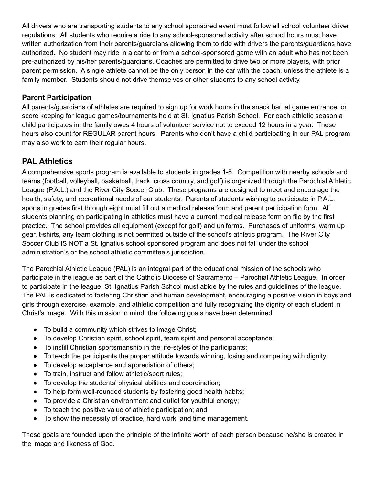All drivers who are transporting students to any school sponsored event must follow all school volunteer driver regulations. All students who require a ride to any school-sponsored activity after school hours must have written authorization from their parents/guardians allowing them to ride with drivers the parents/guardians have authorized. No student may ride in a car to or from a school-sponsored game with an adult who has not been pre-authorized by his/her parents/guardians. Coaches are permitted to drive two or more players, with prior parent permission. A single athlete cannot be the only person in the car with the coach, unless the athlete is a family member. Students should not drive themselves or other students to any school activity.

### **Parent Participation**

All parents/guardians of athletes are required to sign up for work hours in the snack bar, at game entrance, or score keeping for league games/tournaments held at St. Ignatius Parish School. For each athletic season a child participates in, the family owes 4 hours of volunteer service not to exceed 12 hours in a year. These hours also count for REGULAR parent hours. Parents who don't have a child participating in our PAL program may also work to earn their regular hours.

### **PAL Athletics**

A comprehensive sports program is available to students in grades 1-8. Competition with nearby schools and teams (football, volleyball, basketball, track, cross country, and golf) is organized through the Parochial Athletic League (P.A.L.) and the River City Soccer Club. These programs are designed to meet and encourage the health, safety, and recreational needs of our students. Parents of students wishing to participate in P.A.L. sports in grades first through eight must fill out a medical release form and parent participation form. All students planning on participating in athletics must have a current medical release form on file by the first practice. The school provides all equipment (except for golf) and uniforms. Purchases of uniforms, warm up gear, t-shirts, any team clothing is not permitted outside of the school's athletic program. The River City Soccer Club IS NOT a St. Ignatius school sponsored program and does not fall under the school administration's or the school athletic committee's jurisdiction.

The Parochial Athletic League (PAL) is an integral part of the educational mission of the schools who participate in the league as part of the Catholic Diocese of Sacramento – Parochial Athletic League. In order to participate in the league, St. Ignatius Parish School must abide by the rules and guidelines of the league. The PAL is dedicated to fostering Christian and human development, encouraging a positive vision in boys and girls through exercise, example, and athletic competition and fully recognizing the dignity of each student in Christ's image. With this mission in mind, the following goals have been determined:

- To build a community which strives to image Christ;
- To develop Christian spirit, school spirit, team spirit and personal acceptance;
- To instill Christian sportsmanship in the life-styles of the participants;
- To teach the participants the proper attitude towards winning, losing and competing with dignity;
- To develop acceptance and appreciation of others;
- To train, instruct and follow athletic/sport rules;
- To develop the students' physical abilities and coordination;
- To help form well-rounded students by fostering good health habits;
- To provide a Christian environment and outlet for youthful energy;
- To teach the positive value of athletic participation; and
- To show the necessity of practice, hard work, and time management.

These goals are founded upon the principle of the infinite worth of each person because he/she is created in the image and likeness of God.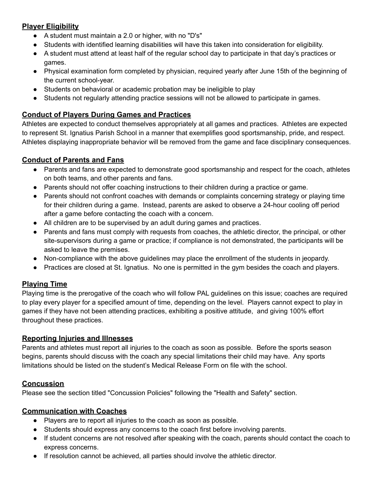### **Player Eligibility**

- A student must maintain a 2.0 or higher, with no "D's"
- Students with identified learning disabilities will have this taken into consideration for eligibility.
- A student must attend at least half of the regular school day to participate in that day's practices or games.
- Physical examination form completed by physician, required yearly after June 15th of the beginning of the current school-year.
- Students on behavioral or academic probation may be ineligible to play
- Students not regularly attending practice sessions will not be allowed to participate in games.

#### **Conduct of Players During Games and Practices**

Athletes are expected to conduct themselves appropriately at all games and practices. Athletes are expected to represent St. Ignatius Parish School in a manner that exemplifies good sportsmanship, pride, and respect. Athletes displaying inappropriate behavior will be removed from the game and face disciplinary consequences.

#### **Conduct of Parents and Fans**

- Parents and fans are expected to demonstrate good sportsmanship and respect for the coach, athletes on both teams, and other parents and fans.
- Parents should not offer coaching instructions to their children during a practice or game.
- Parents should not confront coaches with demands or complaints concerning strategy or playing time for their children during a game. Instead, parents are asked to observe a 24-hour cooling off period after a game before contacting the coach with a concern.
- All children are to be supervised by an adult during games and practices.
- Parents and fans must comply with requests from coaches, the athletic director, the principal, or other site-supervisors during a game or practice; if compliance is not demonstrated, the participants will be asked to leave the premises.
- Non-compliance with the above guidelines may place the enrollment of the students in jeopardy.
- Practices are closed at St. Ignatius. No one is permitted in the gym besides the coach and players.

#### **Playing Time**

Playing time is the prerogative of the coach who will follow PAL guidelines on this issue; coaches are required to play every player for a specified amount of time, depending on the level. Players cannot expect to play in games if they have not been attending practices, exhibiting a positive attitude, and giving 100% effort throughout these practices.

#### **Reporting Injuries and Illnesses**

Parents and athletes must report all injuries to the coach as soon as possible. Before the sports season begins, parents should discuss with the coach any special limitations their child may have. Any sports limitations should be listed on the student's Medical Release Form on file with the school.

#### **Concussion**

Please see the section titled "Concussion Policies" following the "Health and Safety" section.

#### **Communication with Coaches**

- Players are to report all injuries to the coach as soon as possible.
- Students should express any concerns to the coach first before involving parents.
- If student concerns are not resolved after speaking with the coach, parents should contact the coach to express concerns.
- If resolution cannot be achieved, all parties should involve the athletic director.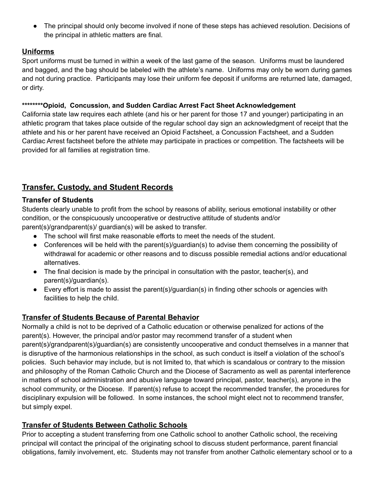● The principal should only become involved if none of these steps has achieved resolution. Decisions of the principal in athletic matters are final.

#### **Uniforms**

Sport uniforms must be turned in within a week of the last game of the season. Uniforms must be laundered and bagged, and the bag should be labeled with the athlete's name. Uniforms may only be worn during games and not during practice. Participants may lose their uniform fee deposit if uniforms are returned late, damaged, or dirty.

#### **\*\*\*\*\*\*\*\*Opioid, Concussion, and Sudden Cardiac Arrest Fact Sheet Acknowledgement**

California state law requires each athlete (and his or her parent for those 17 and younger) participating in an athletic program that takes place outside of the regular school day sign an acknowledgment of receipt that the athlete and his or her parent have received an Opioid Factsheet, a Concussion Factsheet, and a Sudden Cardiac Arrest factsheet before the athlete may participate in practices or competition. The factsheets will be provided for all families at registration time.

### **Transfer, Custody, and Student Records**

#### **Transfer of Students**

Students clearly unable to profit from the school by reasons of ability, serious emotional instability or other condition, or the conspicuously uncooperative or destructive attitude of students and/or parent(s)/grandparent(s)/ guardian(s) will be asked to transfer.

- The school will first make reasonable efforts to meet the needs of the student.
- Conferences will be held with the parent(s)/guardian(s) to advise them concerning the possibility of withdrawal for academic or other reasons and to discuss possible remedial actions and/or educational alternatives.
- $\bullet$  The final decision is made by the principal in consultation with the pastor, teacher(s), and parent(s)/quardian(s).
- Every effort is made to assist the parent(s)/guardian(s) in finding other schools or agencies with facilities to help the child.

#### **Transfer of Students Because of Parental Behavior**

Normally a child is not to be deprived of a Catholic education or otherwise penalized for actions of the parent(s). However, the principal and/or pastor may recommend transfer of a student when parent(s)/grandparent(s)/guardian(s) are consistently uncooperative and conduct themselves in a manner that is disruptive of the harmonious relationships in the school, as such conduct is itself a violation of the school's policies. Such behavior may include, but is not limited to, that which is scandalous or contrary to the mission and philosophy of the Roman Catholic Church and the Diocese of Sacramento as well as parental interference in matters of school administration and abusive language toward principal, pastor, teacher(s), anyone in the school community, or the Diocese. If parent(s) refuse to accept the recommended transfer, the procedures for disciplinary expulsion will be followed. In some instances, the school might elect not to recommend transfer, but simply expel.

#### **Transfer of Students Between Catholic Schools**

Prior to accepting a student transferring from one Catholic school to another Catholic school, the receiving principal will contact the principal of the originating school to discuss student performance, parent financial obligations, family involvement, etc. Students may not transfer from another Catholic elementary school or to a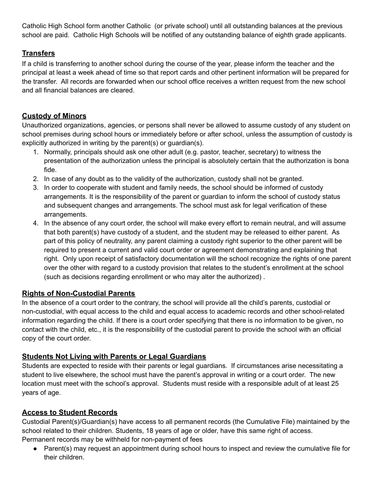Catholic High School form another Catholic (or private school) until all outstanding balances at the previous school are paid. Catholic High Schools will be notified of any outstanding balance of eighth grade applicants.

#### **Transfers**

If a child is transferring to another school during the course of the year, please inform the teacher and the principal at least a week ahead of time so that report cards and other pertinent information will be prepared for the transfer. All records are forwarded when our school office receives a written request from the new school and all financial balances are cleared.

#### **Custody of Minors**

Unauthorized organizations, agencies, or persons shall never be allowed to assume custody of any student on school premises during school hours or immediately before or after school, unless the assumption of custody is explicitly authorized in writing by the parent(s) or guardian(s).

- 1. Normally, principals should ask one other adult (e.g. pastor, teacher, secretary) to witness the presentation of the authorization unless the principal is absolutely certain that the authorization is bona fide.
- 2. In case of any doubt as to the validity of the authorization, custody shall not be granted.
- 3. In order to cooperate with student and family needs, the school should be informed of custody arrangements. It is the responsibility of the parent or guardian to inform the school of custody status and subsequent changes and arrangements. The school must ask for legal verification of these arrangements.
- 4. In the absence of any court order, the school will make every effort to remain neutral, and will assume that both parent(s) have custody of a student, and the student may be released to either parent. As part of this policy of neutrality, any parent claiming a custody right superior to the other parent will be required to present a current and valid court order or agreement demonstrating and explaining that right. Only upon receipt of satisfactory documentation will the school recognize the rights of one parent over the other with regard to a custody provision that relates to the student's enrollment at the school (such as decisions regarding enrollment or who may alter the authorized) .

#### **Rights of Non-Custodial Parents**

In the absence of a court order to the contrary, the school will provide all the child's parents, custodial or non-custodial, with equal access to the child and equal access to academic records and other school-related information regarding the child. If there is a court order specifying that there is no information to be given, no contact with the child, etc., it is the responsibility of the custodial parent to provide the school with an official copy of the court order.

#### **Students Not Living with Parents or Legal Guardians**

Students are expected to reside with their parents or legal guardians. If circumstances arise necessitating a student to live elsewhere, the school must have the parent's approval in writing or a court order. The new location must meet with the school's approval. Students must reside with a responsible adult of at least 25 years of age.

#### **Access to Student Records**

Custodial Parent(s)/Guardian(s) have access to all permanent records (the Cumulative File) maintained by the school related to their children. Students, 18 years of age or older, have this same right of access. Permanent records may be withheld for non-payment of fees

• Parent(s) may request an appointment during school hours to inspect and review the cumulative file for their children.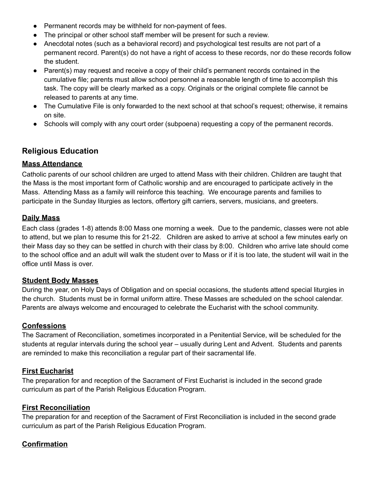- Permanent records may be withheld for non-payment of fees.
- The principal or other school staff member will be present for such a review.
- Anecdotal notes (such as a behavioral record) and psychological test results are not part of a permanent record. Parent(s) do not have a right of access to these records, nor do these records follow the student.
- Parent(s) may request and receive a copy of their child's permanent records contained in the cumulative file; parents must allow school personnel a reasonable length of time to accomplish this task. The copy will be clearly marked as a copy. Originals or the original complete file cannot be released to parents at any time.
- The Cumulative File is only forwarded to the next school at that school's request; otherwise, it remains on site.
- Schools will comply with any court order (subpoena) requesting a copy of the permanent records.

### **Religious Education**

#### **Mass Attendance**

Catholic parents of our school children are urged to attend Mass with their children. Children are taught that the Mass is the most important form of Catholic worship and are encouraged to participate actively in the Mass. Attending Mass as a family will reinforce this teaching. We encourage parents and families to participate in the Sunday liturgies as lectors, offertory gift carriers, servers, musicians, and greeters.

#### **Daily Mass**

Each class (grades 1-8) attends 8:00 Mass one morning a week. Due to the pandemic, classes were not able to attend, but we plan to resume this for 21-22. Children are asked to arrive at school a few minutes early on their Mass day so they can be settled in church with their class by 8:00. Children who arrive late should come to the school office and an adult will walk the student over to Mass or if it is too late, the student will wait in the office until Mass is over.

#### **Student Body Masses**

During the year, on Holy Days of Obligation and on special occasions, the students attend special liturgies in the church. Students must be in formal uniform attire. These Masses are scheduled on the school calendar. Parents are always welcome and encouraged to celebrate the Eucharist with the school community.

#### **Confessions**

The Sacrament of Reconciliation, sometimes incorporated in a Penitential Service, will be scheduled for the students at regular intervals during the school year – usually during Lent and Advent. Students and parents are reminded to make this reconciliation a regular part of their sacramental life.

#### **First Eucharist**

The preparation for and reception of the Sacrament of First Eucharist is included in the second grade curriculum as part of the Parish Religious Education Program.

#### **First Reconciliation**

The preparation for and reception of the Sacrament of First Reconciliation is included in the second grade curriculum as part of the Parish Religious Education Program.

#### **Confirmation**